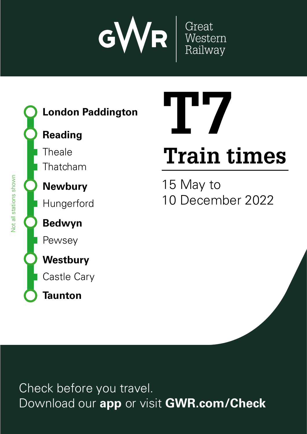

Great<br>Western<br>Railway



**London Paddington**

# **Reading**

**Theale** 

Thatcham

**Newbury**

Hungerford

**Bedwyn**

Pewsey

**Westbury**

Castle Cary

**Taunton**

# **Train times T7**

15 May to 10 December 2022

Check before you travel. Download our **app** or visit **GWR.com/Check**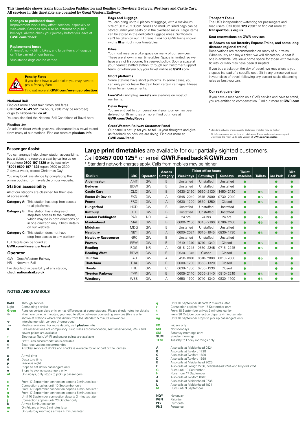#### **This timetable shows trains from London Paddington and Reading to Newbury, Bedwyn, Westbury and Castle Cary. All services in this timetable are operated by Great Western Railway.**

# **Changes to published times**

Improvement works may affect services, especially at<br>weekends. Services may also be different on public **GWR.com/check** 

#### **Replacement buses**

Animals<sup>t</sup>, non-folding bikes, and large items of luggage can't be carried on our buse. **03457 000 125\* GWR.Feedback@GWR.com GWR.com/contact** train times. Search and news.<br>
Register<br>
Register at

h Assistance dogs can be carried.

# **Penalty Fares**

un<br><mark>en</mark><br>Fre If you don't have a valid ticket you may have to<br>pay a Penalty Fare. **VA** pay a Penalty Fare. Find out more at **GWR.com/revenueprotection**

#### **National Rail**

Find out more about train times and fares. Call **03457 48 49 50**\* (24 hours, calls may be recorded) or go to **nationalrail.co.uk** Standard network charges apply. Calls from mobiles may be higher. \* d vertice<br>Download our app to purchase the purchase time<br>Download our and checks and checks and checks and checks and checks and checks and checks and checks and check<br>Download our and checks and checks and checks and chec <mark>co</mark><br>fa<br>s ı don't miss out on the special deals of the special deals are the special deals are the special deals are the special deals are the special deals are the special deals are the special deals are the special deals are the spe ard<br><mark>at</mark><br>ou

You can also find the National Rail Conditions of Travel here.

#### **PlusBus** ¬

An add-on ticket which gives you discounted bus travel to and from many of our stations. Find out more at **plusbus.info**

#### **Bags and Luggage**

You can bring up to 3 pieces of luggage, with a maximum size of  $30 \times 70 \times 90$ cm. Small and medium sized bags can be stored under your seats or in the overhead racks. Large items can be stored in the dedicated luggage areas. Surfboards can't be taken on our IET trains. Look for GWR trains shown with a  $\blacksquare$  symbol in our timetables.

#### **Bikes**

You must reserve a bike space on many of our services. These are shown in our timetables. Space is limited, so we have a strict first-come, first-served policy. Book a space at<br>your nearest staffed station, through our Customer Support team, or when you buy your ticket online at **GWR.com** Yc<br>Th<br>Vc **More information**<br> **More formation**<br>  $\begin{bmatrix}\n\mathbf{f} & \mathbf{f} \\
\mathbf{f} & \mathbf{f} \\
\mathbf{f} & \mathbf{f}\n\end{bmatrix}$ 

# **Short platforms**

#### **Delay Repay**

#### **Great Western Railway Customer Panel**

#### **Transport Focus**

The UK's independent watchdog for passengers and<br>road users. Call **0300 123 2350**\* or find out more at **transportfocus.org.uk**

#### **Seat reservations on GWR services**

#### $\boxtimes$  **(Shown on our Intercity Express Trains, and some long distance regional trains)**

Reservations are recommended on many of our trains. When you try and buy a ticket, we will allocate you a seat if one is available. We leave some space for those with walk-up tickets, or who may have been disrupted. **Train times**<br> **Train times**<br> **Train times re**<br>10 December 2022<br>10 December 2022<br>10 December 2022

If you buy a ticket on the day of travel, we may allocate you a space instead of a specific seat. Sit in any unreserved seat. in your class of travel, following any current social distancing rules as best you can. s, d<br>bu<br>ce<br>ar c<br>as -up<br>at<br>ing<br>ind<br>**on** 

#### **Our seat guarantee**

#### **Passenger Assist**

You can arrange help, check station accessibility, buy a ticket and reserve a seat by calling us on Freephone **0800 197 1329** or by text relay **18001 0800 197 1329** (open 0600 to 2300, 7 days a week, except Christmas Day).

You may book assistance by completing the online booking form available on our website.

#### **Station accessibility**

| All of our stations are classified for their level |  |  |  |
|----------------------------------------------------|--|--|--|
| of accessibility:                                  |  |  |  |

| <b>Category A:</b> This station has step-free access |
|------------------------------------------------------|
| to all platforms                                     |

**Category B:** This station has a degree of step-free access to the platform, which may be in both directions in one direction only. Check detai on our website **Category C:** This station does not have

step-free access to any platform

Full details can be found at **GWR.com/PassengerAssist**

#### **Operator**

| GW             | Great Western Railway                        |
|----------------|----------------------------------------------|
| N <sub>R</sub> | Network Rail                                 |
|                | For details of accessibility at any station, |
|                | check nationalrail.co.uk                     |

# **Large print timetables** are available for our partially sighted customers. Call **03457 000 125**\* or email **GWR.Feedback@GWR.com**

|          |                                     | have a strict first-come, first-served policy. Book a space at<br>your nearest staffed station, through our Customer Support                                                                                             |            |                 |                           | one is available. We leave some space for mose with walk-up<br>tickets, or who may have been disrupted. |                                                                                                                                                                                                                    |                                                                                                                             |                          |                |                 |                     |  |  |  |
|----------|-------------------------------------|--------------------------------------------------------------------------------------------------------------------------------------------------------------------------------------------------------------------------|------------|-----------------|---------------------------|---------------------------------------------------------------------------------------------------------|--------------------------------------------------------------------------------------------------------------------------------------------------------------------------------------------------------------------|-----------------------------------------------------------------------------------------------------------------------------|--------------------------|----------------|-----------------|---------------------|--|--|--|
|          |                                     | team, or when you buy your ticket online at GWR.com                                                                                                                                                                      |            |                 |                           |                                                                                                         | If you buy a ticket on the day of travel, we may allocate you                                                                                                                                                      |                                                                                                                             |                          |                |                 |                     |  |  |  |
|          | nay have to<br><u> ueprotection</u> | <b>Short platforms</b><br>Some stations have short platforms. In some cases, you<br>can only join or leave the train from certain carriages. Please<br>listen for announcements.                                         |            |                 |                           |                                                                                                         | a space instead of a specific seat. Sit in any unreserved seat<br>in your class of travel, following any current social distancing<br>rules as best you can.<br>Our seat guarantee                                 |                                                                                                                             |                          |                |                 |                     |  |  |  |
|          |                                     | Free Wi-Fi and plug sockets are available on most of<br>our trains.                                                                                                                                                      |            |                 |                           |                                                                                                         |                                                                                                                                                                                                                    | If you have a reservation on a GWR service and have to stand,<br>you are entitled to compensation. Find out more at GWR.com |                          |                |                 |                     |  |  |  |
| ecorded) |                                     | Delay Repay<br>You are entitled to compensation if your journey has been<br>delayed for 15 minutes or more. Find out more at                                                                                             |            |                 |                           |                                                                                                         |                                                                                                                                                                                                                    |                                                                                                                             |                          |                |                 |                     |  |  |  |
|          | f Travel here.                      | <b>GWR.com/DelayRepay</b>                                                                                                                                                                                                |            |                 |                           |                                                                                                         |                                                                                                                                                                                                                    |                                                                                                                             |                          |                |                 |                     |  |  |  |
|          | us travel to and<br>usbus.info      | <b>Great Western Railway Customer Panel</b><br>Our panel is set up for you to tell us your thoughts and give<br>us feedback on how we are doing. Find out more at<br><b>GWR.com/Panel</b>                                |            |                 |                           |                                                                                                         | * Standard network charges apply. Calls from mobiles may be higher<br>All information correct at time of publication. Errors and omissions excepted.<br>Download the most up-to-date version at GWR.com/timetables |                                                                                                                             |                          |                |                 |                     |  |  |  |
| ίV,      |                                     | <b>Large print timetables</b> are available for our partially sighted customers.<br>Call 03457 000 125 <sup>*</sup> or email GWR.Feedback@GWR.com<br>* Standard network charges apply. Calls from mobiles may be higher. |            |                 |                           |                                                                                                         |                                                                                                                                                                                                                    |                                                                                                                             |                          |                |                 |                     |  |  |  |
|          | <b>Station</b>                      |                                                                                                                                                                                                                          | <b>CRS</b> | <b>Operator</b> | <b>Access</b><br>Category | Weekdays                                                                                                | <b>Ticket office hours</b><br><b>Saturdays</b>                                                                                                                                                                     | <b>Sundays</b>                                                                                                              | <b>Ticket</b><br>machine | <b>Toilets</b> | <b>Car Park</b> | <b>Bike</b><br>Rack |  |  |  |
|          | Aldermaston                         |                                                                                                                                                                                                                          | AMT        | GW              | B                         | Unstaffed                                                                                               | Unstaffed                                                                                                                                                                                                          | Unstaffed                                                                                                                   |                          |                |                 |                     |  |  |  |
|          | Bedwyn                              |                                                                                                                                                                                                                          | <b>BDW</b> | GW              | B                         | Unstaffed                                                                                               | Unstaffed                                                                                                                                                                                                          | Unstaffed                                                                                                                   |                          |                |                 |                     |  |  |  |
|          | <b>Castle Cary</b>                  |                                                                                                                                                                                                                          | <b>CLC</b> | GW              | <sub>B</sub>              | 0630-2130                                                                                               | 0630-2130                                                                                                                                                                                                          | 1450-2130                                                                                                                   | $\bullet$                | $\bullet$      |                 |                     |  |  |  |
|          | <b>Exeter St Davids</b>             |                                                                                                                                                                                                                          | EXD        | GW              | Α                         | 0545-2040                                                                                               | 0615-2000                                                                                                                                                                                                          | 0730-2040                                                                                                                   | O                        | ●೬             |                 |                     |  |  |  |
|          | <b>Frome</b>                        |                                                                                                                                                                                                                          | <b>FRO</b> | GW              | $\mathsf{A}$              | 0630-1200                                                                                               | 0630-1250                                                                                                                                                                                                          | Closed                                                                                                                      |                          | $\bullet\circ$ |                 |                     |  |  |  |
|          | Hungerford                          |                                                                                                                                                                                                                          | <b>HGD</b> | GW              | B                         | Unstaffed                                                                                               | Unstaffed                                                                                                                                                                                                          | Unstaffed                                                                                                                   |                          |                |                 |                     |  |  |  |
|          | Kintbury                            |                                                                                                                                                                                                                          | KIT        | GW              | B                         | Unstaffed                                                                                               | Unstaffed                                                                                                                                                                                                          | Unstaffed                                                                                                                   |                          |                |                 |                     |  |  |  |
| or       | <b>London Paddington</b>            |                                                                                                                                                                                                                          | PAD        | <b>NR</b>       | A                         | 24 hrs                                                                                                  | 24 hrs                                                                                                                                                                                                             | 24 hrs                                                                                                                      |                          | $\bullet$      |                 |                     |  |  |  |
| ils      | <b>Maidenhead</b>                   |                                                                                                                                                                                                                          | MAI        | GW              | B                         | 0600-2100                                                                                               | 0645-2100                                                                                                                                                                                                          | 0700-2100                                                                                                                   | ō                        | $\bullet$      |                 |                     |  |  |  |
|          | Midgham                             |                                                                                                                                                                                                                          | MDG        | GW              | B                         | Unstaffed                                                                                               | Unstaffed                                                                                                                                                                                                          | Unstaffed                                                                                                                   |                          |                |                 |                     |  |  |  |
|          | <b>Newbury</b>                      |                                                                                                                                                                                                                          | <b>NBY</b> | GW              | A                         | 0600-2024                                                                                               | 0615-1945                                                                                                                                                                                                          | 0830-1730                                                                                                                   |                          | ی¢             |                 |                     |  |  |  |
|          | <b>Newbury Racecourse</b>           |                                                                                                                                                                                                                          | <b>NRC</b> | GW              | <sub>B</sub>              | Unstaffed                                                                                               | Unstaffed                                                                                                                                                                                                          | Unstaffed                                                                                                                   |                          |                |                 |                     |  |  |  |
|          | Pewsey                              |                                                                                                                                                                                                                          | PEW        | GW              | B                         | 0610-1240                                                                                               | 0710-1340                                                                                                                                                                                                          | Closed                                                                                                                      |                          | $\bullet$      |                 |                     |  |  |  |
|          | Reading                             |                                                                                                                                                                                                                          | <b>RDG</b> | <b>NR</b>       | Α                         |                                                                                                         | 0515-2245 0530-2245                                                                                                                                                                                                | 0715 - 2245                                                                                                                 | n                        | $\bullet$      |                 |                     |  |  |  |
|          | <b>Reading West</b>                 |                                                                                                                                                                                                                          | <b>RDW</b> | GW              | B                         | 0630-1045                                                                                               | Closed                                                                                                                                                                                                             | Closed                                                                                                                      |                          |                |                 |                     |  |  |  |
|          | <b>Taunton</b>                      |                                                                                                                                                                                                                          | TAU        | GW              | Α                         | 0450-0100                                                                                               | 0610-2000                                                                                                                                                                                                          | 0810-2000                                                                                                                   |                          | ●              |                 |                     |  |  |  |
|          | <b>Thatcham</b>                     |                                                                                                                                                                                                                          | THA        | GW              | B                         | 0600-1230                                                                                               | 0650-1320                                                                                                                                                                                                          | Closed                                                                                                                      |                          |                |                 |                     |  |  |  |
|          | <b>Theale</b>                       |                                                                                                                                                                                                                          | THE        | GW              | С                         | 0630-1300                                                                                               | 0700-1330                                                                                                                                                                                                          | Closed                                                                                                                      |                          |                |                 |                     |  |  |  |
|          | <b>Tiverton Parkway</b>             |                                                                                                                                                                                                                          | <b>TVP</b> | GW              | B.                        | 0605-2140                                                                                               | 0605-2140                                                                                                                                                                                                          | 0810-2210                                                                                                                   | ٠                        | $\bullet$      |                 |                     |  |  |  |
|          | Westbury                            |                                                                                                                                                                                                                          | <b>WSB</b> | GW              | Α                         | 0650-1700                                                                                               | 0740-1340                                                                                                                                                                                                          | 0830-1700<br>Ō<br>●೬                                                                                                        |                          |                |                 |                     |  |  |  |

#### **NOTES AND SYMBOLS**

| <b>Bold</b><br>Light | Through service<br>Connecting service                                                          | q          | Until 10 September departs 2 minutes later<br>Connection applies from 17 September only |
|----------------------|------------------------------------------------------------------------------------------------|------------|-----------------------------------------------------------------------------------------|
| <b>Green</b>         | Runs on certain days only, or has differences at some stations. Please check notes for details | t          | From 18 September arrives 2 minutes earlier                                             |
| $^{\circ}$           | Minimum time, in minutes, you need to allow between connecting services (this is only          | v          | From 30 October connection departs 4 minutes later                                      |
|                      | shown at stations where this differs from the standard 5 minute allowance)                     | ug         | Until 10 September stops to pick up passengers only                                     |
| ٠                    | Interchange with London Underground                                                            |            |                                                                                         |
| $\equiv$             | PlusBus available. For more details, visit plusbus.info                                        | <b>FO</b>  | Fridays only                                                                            |
| ш                    | Bike reservations are compulsory. First Class accommodation, seat reservations, Wi-Fi and      | <b>MX</b>  | Not Mondavs                                                                             |
|                      | power points are available                                                                     | <b>SM</b>  | Saturday mornings only                                                                  |
| ÷                    | Electrostar Train. Wi-Fi and power points are available                                        | <b>SUM</b> | Sunday mornings                                                                         |
| п                    | First Class accommodation is available                                                         | <b>TFM</b> | Tuesday to Friday mornings only                                                         |
| R                    | Seat reservations recommended                                                                  |            |                                                                                         |
| 盂                    | A trolley service of drinks and snacks is available for all or part of the journey             | А          | Also calls at Maidenhead 0824                                                           |
|                      |                                                                                                | в          | Also calls at Twyford 1728                                                              |
| а                    | Arrival time                                                                                   | C          | Also calls at Twyford 1829                                                              |
| d                    | Departure time                                                                                 | D          | Also calls at Twyford 1929                                                              |
| р                    | Previous night                                                                                 | Е          | Also calls at Maidenhead 2025                                                           |
| S                    | Stops to set down passengers only                                                              |            | Also calls at Slough 2236, Maidenhead 2244 and Twyford 2251                             |
| u                    | Stops to pick up passengers only                                                               | G          | Runs until 10 September                                                                 |
| uf                   | On Fridays, only stops to pick up passengers                                                   | н          | Runs from 17 September                                                                  |
|                      |                                                                                                |            | Also calls at Twyford 0648                                                              |
| c                    | From 17 September connection departs 3 minutes later                                           | ĸ          | Also calls at Maidenhead 0735                                                           |
| е                    | Connection applies until 10 September only                                                     |            | Also calls at Maidenhead 1021                                                           |
| f                    | From 17 September connection departs 4 minutes later                                           | М          | Runs until 9 September                                                                  |
| g                    | From 17 September connection departs 5 minutes later                                           |            |                                                                                         |
| h                    | Until 10 September connection departs 3 minutes later                                          | <b>NQY</b> | Newquay                                                                                 |
|                      | Connection applies until 23 October only                                                       | <b>PGN</b> | Paignton                                                                                |
| k                    | Arrives 5 minutes earlier                                                                      | <b>PLY</b> | Plymouth                                                                                |
| m                    | On Fridays arrives 5 minutes later                                                             | PNZ        | Penzance                                                                                |
| n                    | On Saturday mornings arrives 4 minutes later                                                   |            |                                                                                         |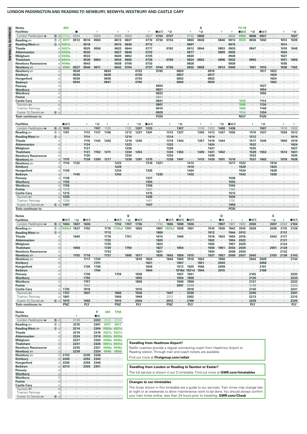# LONDON PADDINGTON AND READING TO NEWBURY, BEDWYN, WESTBURY AND CASTLE CARY

| <b>Notes</b>                                                                                                                                                                                                                                                                                                                                                 |                  | <b>MX</b>        |           |         |                          |                      |              |                      |                      |              |         |                      |         |         | А                    |                      |              |                      | <b>FOM</b>           |                      |                |                          |         |      |
|--------------------------------------------------------------------------------------------------------------------------------------------------------------------------------------------------------------------------------------------------------------------------------------------------------------------------------------------------------------|------------------|------------------|-----------|---------|--------------------------|----------------------|--------------|----------------------|----------------------|--------------|---------|----------------------|---------|---------|----------------------|----------------------|--------------|----------------------|----------------------|----------------------|----------------|--------------------------|---------|------|
| <b>Facilities</b>                                                                                                                                                                                                                                                                                                                                            |                  |                  |           |         | 4                        |                      | Ŧ            | 4                    |                      | ×            | ∎в≂     | グ目                   |         | ×       | チ目                   |                      | ÷            | ×                    | ∎⊡ਨ                  | グ目                   | ∎⊟ਨ            |                          | Ŧ       |      |
| London Paddington $\Theta$                                                                                                                                                                                                                                                                                                                                   |                  | <b>6</b> d 2332p | 0334      | $\cdot$ | 0505                     | $\cdot$              | 0535         | 0550                 | $\cdot$              | 0637         | 0704    | 0707                 | $\sim$  | 0732    | 0806                 | ×.                   | $\cdot$      | 0832                 | 0904                 | 0908                 | 0937           | $\cdot$                  | $\cdot$ | 1007 |
| Reading $\equiv$                                                                                                                                                                                                                                                                                                                                             | $(7)$ d          | 0017             | 0512      | 0516    | 0550                     | $\cdot$              | 0613         | 0637                 | $\cdot$              | 0710         | 0730    | 0734                 | $\cdot$ | 0803    | 0836                 | $\cdot$              | 0846         | 0913                 | 0929                 | 0936                 | 1002           | ٠                        | 1012    | 1039 |
| Reading West                                                                                                                                                                                                                                                                                                                                                 | $\circled{3}$ d  | 0021s            |           | 0519    |                          |                      | 0615         | 0639                 |                      | 0712         |         |                      |         | 0807    |                      | ٠                    |              | 0915                 |                      |                      |                |                          | 1014    |      |
| <b>Theale</b>                                                                                                                                                                                                                                                                                                                                                | d                | 0027s            | $\sim$    | 0525    | 0556                     | $\cdot$              | 0622         | 0644                 | $\cdot$              | 0717         | $\cdot$ | 0742                 | $\sim$  | 0812    | 0844                 | $\sim$               | 0853         | 0920                 | $\sim$               | 0947                 | $\cdot$        | $\cdot$                  | 1019    | 1048 |
| <b>Aldermaston</b>                                                                                                                                                                                                                                                                                                                                           | n                | 0033s            |           | 0530    | $\overline{\phantom{a}}$ |                      | 0627         | 0649                 |                      | 0722         |         | $\ddot{\phantom{0}}$ |         | 0817    |                      | $\ddot{\phantom{0}}$ | 0859         | 0925                 |                      | $\ddot{\phantom{a}}$ |                |                          | 1024    |      |
| Midgham                                                                                                                                                                                                                                                                                                                                                      | d                | 0036s            | $\cdot$   | 0533    | $\cdot$                  | ٠                    | 0630         | 0652                 | $\cdot$              | 0725         | $\cdot$ | $\cdot$              | $\cdot$ | 0820    | $\cdot$              | ٠                    | $\cdot$      | 0928                 | ×.                   | $\cdot$              |                |                          | 1027    |      |
| <b>Thatcham</b>                                                                                                                                                                                                                                                                                                                                              | d                | 0041s            |           | 0538    | 0604                     |                      | 0634         | 0656                 |                      | 0729         |         | 0750                 |         | 0824    | 0852                 |                      | 0906         | 0932                 |                      | 0955                 |                |                          | 1031    | 1056 |
| <b>Newbury Racecourse</b>                                                                                                                                                                                                                                                                                                                                    | d                | 0046s            | ٠         | 0543    |                          |                      | 0638         | 0700                 | $\cdot$              | 0733         |         | $\ddot{\phantom{a}}$ | $\cdot$ | 0828    | $\cdot$              | ×.                   |              | 0936                 |                      | $\ddot{\phantom{a}}$ |                |                          | 1035    |      |
| Newbury s                                                                                                                                                                                                                                                                                                                                                    | a                | 0050             | 0527      | 0546    | 0611                     | $\ddot{\phantom{a}}$ | 0642         | 0704                 | $\cdot$              | 0737         | 0744    | 0756                 |         | 0832    | 0858                 |                      | 0914         | 0940                 | $\sim$               | 1001                 | 1016           | $\cdot$                  | 1038    |      |
| Newbury s                                                                                                                                                                                                                                                                                                                                                    | d                | $\sim$           | 0528      | $\cdot$ | $\cdot$                  | 0624                 | $\sim$       | $\mathbf{r}$         | 0722                 | $\cdot$      | 0745    | $\cdot$              | 0820    | $\cdot$ | $\ddot{\phantom{a}}$ | 0910                 | $\cdot$      | $\ddot{\phantom{a}}$ | $\mathcal{L}$        | $\cdot$              | 1017           | 1022                     | $\cdot$ |      |
| Kintbury                                                                                                                                                                                                                                                                                                                                                     | d                |                  | 0534      | ٠       |                          | 0630                 |              |                      | 0729                 | ٠            |         |                      | 0827    |         |                      | 0917                 |              |                      |                      |                      |                | 1029                     |         |      |
| Hungerford                                                                                                                                                                                                                                                                                                                                                   | d                | ×                | 0539      | $\cdot$ | $\cdot$                  | 0635                 | $\sim$       | $\cdot$              | 0733                 | $\cdot$      | ٠       | ٠                    | 0832    | ٠       |                      | 0922                 |              |                      | ×                    | ٠                    |                | 1034                     | $\cdot$ |      |
| Bedwyn                                                                                                                                                                                                                                                                                                                                                       |                  |                  | 0544      |         |                          | 0641                 |              |                      | 0740                 |              |         |                      | 0840    |         |                      | 0930                 |              |                      |                      |                      |                | 1042                     | $\cdot$ |      |
| Pewsey                                                                                                                                                                                                                                                                                                                                                       | d                |                  |           |         |                          |                      |              |                      | ٠                    | $\cdot$      | 0804    | $\cdot$              |         |         |                      |                      |              |                      |                      | ٠                    | 1037           |                          | $\cdot$ |      |
| Westbury                                                                                                                                                                                                                                                                                                                                                     | a                |                  |           |         |                          |                      |              |                      |                      |              | 0821    | $\ddot{\phantom{0}}$ |         |         |                      |                      |              |                      |                      | $\cdot$              | 1054           |                          |         |      |
| Westbury                                                                                                                                                                                                                                                                                                                                                     | d                | ×                |           |         |                          |                      |              |                      |                      |              | 0822    | $\cdot$              |         |         |                      |                      |              |                      |                      | $\ddot{\phantom{0}}$ | 1055           | $\cdot$                  |         |      |
| <b>Frome</b>                                                                                                                                                                                                                                                                                                                                                 | a                |                  |           |         |                          |                      |              |                      |                      | $\cdot$      | 0941    |                      |         |         |                      |                      |              |                      |                      |                      |                |                          |         |      |
| <b>Castle Cary</b>                                                                                                                                                                                                                                                                                                                                           | a                |                  |           |         |                          |                      |              |                      |                      |              | 0841    | $\ddot{\phantom{a}}$ |         |         |                      |                      |              |                      | 1028                 | $\ddot{\phantom{a}}$ | 1114           | $\overline{\phantom{a}}$ | ٠.      |      |
| Taunton s                                                                                                                                                                                                                                                                                                                                                    | $\overline{a}$   |                  |           |         |                          |                      |              |                      |                      |              | 0901    | $\cdot$              |         |         |                      |                      |              |                      | 1046                 | $\cdot$              | 1134           |                          |         |      |
| Tiverton Parkway                                                                                                                                                                                                                                                                                                                                             | a                |                  |           |         |                          |                      |              |                      |                      |              | 0915    |                      |         |         |                      |                      |              |                      | 1059                 | $\cdot$              | 1148           | ٠                        |         |      |
| Exeter St Davids                                                                                                                                                                                                                                                                                                                                             | 6a               |                  |           |         |                          |                      |              |                      |                      |              | 0929    |                      |         |         |                      |                      |              |                      | 1114                 | $\cdot$              | 1204           |                          |         |      |
|                                                                                                                                                                                                                                                                                                                                                              |                  |                  |           |         |                          |                      |              |                      |                      |              |         |                      |         |         |                      |                      |              |                      |                      |                      |                |                          |         |      |
| <b>Train continues to</b>                                                                                                                                                                                                                                                                                                                                    |                  |                  |           |         |                          |                      |              |                      |                      |              | PGN     |                      |         |         |                      |                      |              |                      | <b>NQY</b>           |                      | <b>PGN</b>     |                          |         |      |
|                                                                                                                                                                                                                                                                                                                                                              |                  |                  |           |         |                          |                      |              |                      |                      |              |         |                      |         |         |                      |                      |              |                      |                      |                      |                |                          |         |      |
|                                                                                                                                                                                                                                                                                                                                                              |                  | ∎⊡ਨ              |           | x       | 月 日                      | ×                    |              | s                    | 和日                   | ∎⊡ਨ          |         | ×                    | 利日      |         | x                    | x                    | 和日           | ∎⊡ਨ                  |                      | ķ                    | 月 日            |                          | ¥       |      |
|                                                                                                                                                                                                                                                                                                                                                              | 15 d             | 1035             | $\cdot$   | $\cdot$ | 1107                     | 1120                 | $\cdot$      | 1132                 | 1207                 | 1233         |         |                      | 1307    | $\cdot$ | 1318                 | 1332                 | 1408         | 1436                 |                      |                      | 1507           | $\cdot$                  | 1518    |      |
|                                                                                                                                                                                                                                                                                                                                                              |                  |                  | $\cdot$   |         |                          |                      | ٠            |                      |                      |              | ٠       |                      |         |         |                      |                      |              |                      | $\cdot$              |                      |                | $\cdot$                  |         |      |
|                                                                                                                                                                                                                                                                                                                                                              | $\circledcirc$ d | 1101             |           | 1112    | 1137                     | 1156                 |              | 1212                 | 1237                 | 1301         |         | 1312                 | 1337    |         | 1350                 | 1412                 | 1437         | 1502                 |                      | 1510                 | 1537           |                          | 1550    |      |
|                                                                                                                                                                                                                                                                                                                                                              | 3 d              |                  |           | 1114    |                          |                      | $\cdot$      | 1214                 |                      |              |         | 1314                 |         |         |                      | 1414                 |              |                      |                      | 1512                 |                |                          |         |      |
|                                                                                                                                                                                                                                                                                                                                                              | d                |                  |           | 1119    | 1144                     | 1203                 | ٠            | 1219                 | 1245                 |              |         | 1319                 | 1344    |         | 1357                 | 1419                 | 1444         |                      |                      | 1517                 | 1545           |                          | 1600    |      |
|                                                                                                                                                                                                                                                                                                                                                              | d                |                  |           | 1124    |                          |                      |              | 1223                 | $\cdot$              |              |         | 1323                 |         |         |                      | 1424                 |              |                      |                      | 1522                 |                |                          |         |      |
|                                                                                                                                                                                                                                                                                                                                                              | d                | ٠                |           | 1127    |                          |                      |              | 1226                 | $\ddot{\phantom{a}}$ |              |         | 1326                 | $\cdot$ |         |                      | 1427                 | $\cdot$      |                      |                      | 1525                 |                |                          |         |      |
|                                                                                                                                                                                                                                                                                                                                                              | d                | ٠                |           | 1131    | 1152                     | 1211                 | $\cdot$      | 1230                 | 1253                 | $\cdot$      |         | 1330                 | 1352    |         | 1405                 | 1431                 | 1452         |                      |                      | 1529                 | 1553           |                          | 1612    |      |
|                                                                                                                                                                                                                                                                                                                                                              | d                | $\cdot$          | $\lambda$ | 1135    |                          | $\lambda$            | $\mathbf{r}$ | 1234                 | $\mathbf{r}$         | $\mathbf{r}$ |         | 1334                 | $\cdot$ | ÷.      |                      | 1435                 | $\mathbf{r}$ | $\mathbf{r}$         |                      | 1533                 | $\overline{a}$ | $\lambda$                | $\cdot$ |      |
|                                                                                                                                                                                                                                                                                                                                                              | a                | 1115             |           | 1138    | 1200                     | 1217                 |              | 1238                 | 1301                 | 1315         |         | 1338                 | 1401    |         | 1415                 | 1439                 | 1501         | 1516                 |                      | 1537                 | 1602           |                          | 1618    |      |
|                                                                                                                                                                                                                                                                                                                                                              | d                | 1116             | 1132      | $\cdot$ |                          |                      | 1222         | $\cdot$              | $\cdot$              | 1316         | 1321    | $\cdot$              | $\cdot$ | 1412    | $\cdot$              | $\cdot$              | $\cdot$      | 1517                 | 1522                 | $\cdot$              |                | 1616                     | $\cdot$ |      |
|                                                                                                                                                                                                                                                                                                                                                              | d                |                  |           |         |                          |                      | 1229         |                      |                      |              |         |                      |         | 1419    |                      |                      |              |                      | 1529                 | $\cdot$              |                | 1623                     |         |      |
|                                                                                                                                                                                                                                                                                                                                                              | d                | 1126             | $\cdot$   |         |                          |                      | 1234         | $\cdot$              |                      | 1325         | $\cdot$ |                      |         | 1424    | $\cdot$              |                      |              |                      | 1534                 | $\cdot$              |                | 1628                     | $\cdot$ |      |
|                                                                                                                                                                                                                                                                                                                                                              | a                | ٠                | 1145      |         |                          |                      | 1242         |                      |                      |              | 1335    |                      |         | 1432    |                      |                      |              |                      | 1542                 |                      |                | 1636                     |         |      |
|                                                                                                                                                                                                                                                                                                                                                              |                  | 1138             |           |         |                          |                      | $\mathbf{r}$ |                      |                      | 1337         |         |                      |         |         |                      |                      |              | 1536                 |                      |                      |                |                          |         |      |
|                                                                                                                                                                                                                                                                                                                                                              | a                | 1155             |           |         |                          |                      |              |                      |                      | 1354         |         |                      |         |         |                      |                      |              | 1553                 |                      |                      |                |                          |         |      |
|                                                                                                                                                                                                                                                                                                                                                              | <b>d</b>         | 1156             | ٠         | ٠       |                          | ٠                    | $\cdot$      | ٠                    | ٠                    | 1356         | ٠       |                      |         | ٠       | $\cdot$              | ٠                    | ٠            | 1554                 |                      | ٠                    |                | ٠                        | $\cdot$ |      |
|                                                                                                                                                                                                                                                                                                                                                              | a                | 1215             |           |         |                          |                      |              |                      |                      | 1447         |         |                      |         |         |                      |                      |              | 1743                 |                      |                      |                |                          |         |      |
|                                                                                                                                                                                                                                                                                                                                                              | a                | 1215             | $\cdot$   | $\cdot$ | $\sim$                   |                      |              | $\cdot$              | ٠                    | 1415         | $\cdot$ | $\cdot$              |         | ×.      |                      | $\epsilon$           | $\cdot$      | 1613                 | $\cdot$              | $\cdot$              |                | $\overline{\phantom{a}}$ |         |      |
|                                                                                                                                                                                                                                                                                                                                                              | a                | 1235             | $\cdot$   |         |                          |                      |              | $\ddot{\phantom{a}}$ |                      | 1435         | $\cdot$ |                      |         |         |                      | $\ddot{\phantom{a}}$ |              | 1634                 |                      |                      |                |                          |         |      |
| <b>Facilities</b><br>London Paddington $\Theta$<br>Reading $\equiv$<br>Reading West<br><b>Theale</b><br><b>Aldermaston</b><br>Midgham<br><b>Thatcham</b><br><b>Newbury Racecourse</b><br>Newbury s<br>Newbury =<br>Kintbury<br>Hungerford<br>Bedwyn<br>Pewsev<br>Westbury<br>Westbury<br><b>Frome</b><br><b>Castle Carv</b><br>Taunton s<br>Tiverton Parkway | a                | 1258             |           |         |                          |                      |              | $\cdot$              |                      | 1457         |         |                      |         |         |                      | ٠                    |              | 1701                 |                      |                      |                |                          |         |      |
| Exeter St Davids<br><b>Train continues to</b>                                                                                                                                                                                                                                                                                                                | 6a               | 1307             | $\cdot$   | $\cdot$ | $\cdot$                  |                      |              | $\cdot$              | $\cdot$              | 1507         | $\cdot$ | $\cdot$              | $\cdot$ |         |                      | $\cdot$              |              | 1659<br><b>PGN</b>   | $\ddot{\phantom{0}}$ |                      |                | $\cdot$                  |         |      |

| <b>Facilities</b>           |                  | ■⊓≖        | チ目   | ∎в≂  |         |      | ∎⊪ਸ਼ਨ      | R    | ∎⊞ਡ  |      |      | ∎⊞ऊ        | ■■■本  | ∎⊟ਨ   |      |         | - IR |      |      | ∎⊞क       |      | 升日   |      | ∎в≂        |
|-----------------------------|------------------|------------|------|------|---------|------|------------|------|------|------|------|------------|-------|-------|------|---------|------|------|------|-----------|------|------|------|------------|
| London Paddington $\bullet$ | 15 d             | 1604       | 1607 | 1636 |         | ٠    | 1704       | 1707 | 1736 |      | 1734 | 1804       | 1808  | 1836  |      | $\cdot$ | 1907 | 1907 | 1932 | 2003      |      | 2007 | 2032 | 2104       |
| Reading $\equiv$            | $\circledcirc$ d |            | 1637 | 1702 |         | 1710 | 1729uf     | 1741 | 1803 |      | 1807 | 1829uf     | 1838  | 1901  |      | 1910    | 1936 | 1942 | 2010 | 2029      |      | 2036 | 2110 | 2129       |
| Reading West                | $\circled{3}$ d  |            |      |      |         | 1712 |            |      |      |      | 1809 |            |       |       |      | 1912    |      | 1944 | 2012 |           |      |      | 2112 |            |
| <b>Theale</b>               | d                |            | 1645 |      | $\cdot$ | 1718 |            | 1751 |      |      | 1815 |            | 1846  |       |      | 1918    | 1943 | 1950 | 2018 |           |      | 2043 | 2117 |            |
| <b>Aldermaston</b>          | <sub>d</sub>     |            |      |      |         | 1722 |            |      |      |      | 1820 |            |       |       |      | 1922    |      | 1954 | 2022 |           |      |      | 2121 |            |
| <b>Midgham</b>              | d.               |            |      |      |         | 1725 |            |      |      |      | 1823 |            |       |       |      | 1925    |      | 1957 | 2025 |           |      |      | 2124 |            |
| <b>Thatcham</b>             | d                |            | 1656 |      | $\cdot$ | 1729 |            | 1759 |      |      | 1827 |            | 1854  |       |      | 1930    | 195' | 2002 | 2030 |           |      | 2051 | 2128 |            |
| <b>Newbury Racecourse</b>   | d                |            |      |      |         | 1733 |            |      |      |      | 1831 |            |       |       |      | 1934    |      | 2006 | 2034 |           |      |      | 2132 |            |
| Newbury som                 | a                |            | 1703 | 1716 |         | 1737 |            | 1805 | 1817 |      | 1835 | 1843       | 1859  | 1915  |      | 1937    | 1957 | 2009 | 2037 | 2043      |      | 2103 | 2136 | 2143       |
| Newbury 2                   | $\mathsf{d}$     |            |      | 1717 | 1724    |      |            |      | 1819 | 1824 |      | 1844       | 1900  | 1916  | 1924 |         | 1958 |      |      | 2044      | 2049 |      |      | 2144       |
| Kintbury                    | d                |            |      |      | 1731    |      |            |      |      | 1831 |      |            | 1907  |       | 1931 |         | 2004 |      |      |           | 2056 |      |      |            |
| Hungerford                  | d                |            |      | 1726 | 1736    |      |            |      |      | 1836 |      |            | 1912  | 1925  | 1936 |         | 2009 |      |      |           | 2101 |      |      |            |
| Bedwyn                      | a                |            |      |      | 1744    |      |            |      |      | 1844 |      | $\cdot$    | 1918d | 1931d | 1944 |         | 2015 |      |      | $\bullet$ | 2108 |      |      |            |
| Pewsey                      | d                |            |      | 1738 |         |      | 1759       |      | 1838 |      |      |            | 1927  | 1941  |      |         |      |      |      | 2103      |      |      |      | 2203       |
| Westbury                    | a                |            |      | 1755 |         |      |            |      | 1855 |      |      |            | 1944  | 1958  |      |         |      |      |      | 2120      |      |      |      | 2220       |
| Westbury                    | d                |            |      | 1757 |         |      |            |      | 1856 |      |      |            | 1946  | 1959  |      |         |      |      |      | 2121      |      |      |      | 2222       |
| Frome                       | $\mathsf{a}$     |            |      | 1842 |         |      |            |      |      |      |      |            | 2001  | 2049  |      |         |      |      |      | 2149      |      |      |      | 2320       |
| <b>Castle Cary</b>          | a                | 1725       |      | 1816 |         |      |            |      | 1915 |      |      |            |       | 2018  |      |         |      |      |      | 2140      |      |      |      | 2241       |
| Taunton æ                   | $\mathbf{a}$     | 1747       |      | 1837 |         |      | 1846       |      | 1936 |      |      | 1947       |       | 2039  |      |         |      |      |      | 2200      |      |      |      | 2301       |
| Tiverton Parkway            | a                | 1801       |      |      |         |      | 1900       |      | 1949 |      |      | 2012       |       | 2052  |      |         |      |      |      | 2213      |      |      |      | 2315       |
| Exeter St Davids            | 6a               | 1815       |      | 1902 |         |      | 1915       |      | 2004 |      |      | 2012       |       | 2109  |      |         |      |      |      | 2228      |      |      |      | 2330       |
| <b>Train continues to</b>   |                  | <b>PNZ</b> |      | PLY  |         |      | <b>PNZ</b> |      | PLY  |      |      | <b>PNZ</b> |       | PLY   |      |         |      |      |      | PLY       |      |      |      | <b>PLY</b> |

| <b>Notes</b>               |               |   |      |      |                      | F    | <b>SM</b> | <b>TFM</b> |
|----------------------------|---------------|---|------|------|----------------------|------|-----------|------------|
| <b>Facilities</b>          |               |   |      | ı    |                      | I R  |           |            |
| London Paddington $\Theta$ | $(5)$         | d |      | 2128 | ٠                    | 2222 | 2332      | 2332       |
| Reading                    | $^{\circ}$    | d |      | 2210 | ٠                    | 2301 | 0017      | 0017       |
| Reading West               | $\circled{3}$ | d |      | 2214 | ٠                    | 2304 | 0020s     | 0021s      |
| <b>Theale</b>              |               | d |      | 2219 | ٠                    | 2310 | 0027s     | 0027s      |
| <b>Aldermaston</b>         |               | d |      | 2224 | $\cdot$              | 2316 | 0032s     | 0033s      |
| Midgham                    |               | d | ٠    | 2227 | ٠                    | 2320 | 0036s     | 0036s      |
| <b>Thatcham</b>            |               | d |      | 2231 | $\ddot{\phantom{0}}$ | 2326 | 0041s     | 0041s      |
| <b>Newbury Racecourse</b>  |               | d |      | 2235 | ٠                    | 2331 | 0046s     | 0046s      |
| Newbury s                  |               | a |      | 2239 | ٠                    | 2334 | 0049      | 0050       |
| Newbury s                  |               | d | 2153 |      | 2245                 | 2336 |           | ٠          |
| Kintbury                   |               | d | 2200 | ٠    | 2252                 | 2342 | ä         | ٠          |
| Hungerford                 |               | d | 2205 | ٠    | 2256                 | 2346 |           | ٠          |
| Bedwyn                     |               | a | 2213 | ٠    | 2303                 | 2351 | ÷         | ٠          |
| Pewsey                     |               | d |      | ٠    | ٠                    | ٠    | ä,        | ٠          |
| Westbury                   |               | a | ٠    | ٠    | ٠                    | ٠    | ٠         | ٠          |
| Westbury                   |               | d |      | ٠    | ٠                    | ٠    | è         | ٠          |
| <b>Frome</b>               |               | a |      | ٠    | ٠                    | ٠    | ٠         | ٠          |
| <b>Castle Cary</b>         |               | a | ٠    | ٠    | ٠                    | ٠    | ٠         | ٠          |
| Taunton s                  |               | a |      | ٠    | ٠                    | ٠    |           | ٠          |
| <b>Tiverton Parkway</b>    |               | a |      | ٠    | ٠                    | ٠    | ä,        |            |
| Exeter St Davids           | $^{\circ}$    | a |      |      | ٠                    | ٠    |           |            |

# **Travelling from Heathrow Airport?**

NailAir coaches provide a regular connecting coach from Heathrow Airport to<br>RailAir coaches provide a regular connecting coach from Heathrow Airport to<br>Reading station. Through train and coach tickets are available.

Find out more at Firstgroup.com/railair

# Travelling from London or Reading to Taunton or Exeter?

The full service is shown in our D timetable. Find out more at GWR.com/timetables

#### **Changes to our timetables**

The times shown in this timetable are a guide to our services. Train times may change late and direct the times shown in any uniqueneus are a galacte to our services. Hence these hay change late<br>at night or at weekends to allow maintenance work to be done. You should always confirm<br>your train times online, less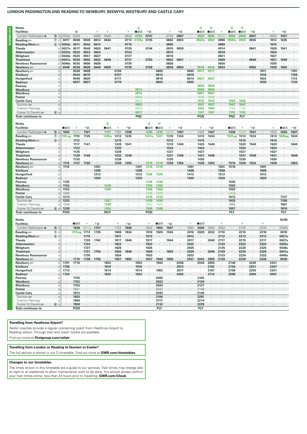#### LONDON PADDINGTON AND READING TO NEWBURY, BEDWYN, WESTBURY AND CASTLE CARY

| <b>Notes</b>                |                  |                   |         |         |              |                          |         |              | G       |                          |         |         |                      |                      | G          | н       |         | G                           | н       |            |                |            |                          |              |
|-----------------------------|------------------|-------------------|---------|---------|--------------|--------------------------|---------|--------------|---------|--------------------------|---------|---------|----------------------|----------------------|------------|---------|---------|-----------------------------|---------|------------|----------------|------------|--------------------------|--------------|
| <b>Facilities</b>           |                  |                   | п       |         | s            |                          |         | x            | ∎⊡ਨ     | 4日                       |         | x       | 有国                   |                      | ⊞⊞ਲ        | ∎⊡ਨ     |         | ∎в≂                         | ■日ま     | チ目         |                | x          | 利日                       |              |
| London Paddington $\bullet$ | 15 d             | 2332 <sub>p</sub> | 0334    | $\cdot$ | 0520         | 0550                     | $\cdot$ | 0630         | 0700    | 0707                     |         | 0732    | 0807                 | $\epsilon$           | 0835       | 0835    | 0832c   | 0904                        | 0904    | 0907       |                | 0932       | 1007                     |              |
| Reading $\equiv$            | $\circledcirc$ d | 0017              | 0508    | 0539    | 0612         | 0634                     |         | 0712         | 0728u   | 0735                     |         | 0802    | 0833                 | $\cdot$              | 0902u      | 0902    | 0906    | 0930u                       | 0930    | 0935       |                | 1012       | 1035                     |              |
| Reading West                | $(3)$ d          | 0020s             | 0511    | 0542    | 0614         |                          |         | 0715         |         |                          |         | 0805    |                      |                      |            |         | 0909    |                             |         |            |                | 1015       |                          |              |
| Theale                      | $\mathsf{d}$     | 0027s             | 0517    | 0548    | 0620         | 0641                     | $\cdot$ | 0720         |         | 0744                     |         | 0810    | 0839                 |                      |            |         | 0914    | <b>A</b>                    | ч.      | 0941       | $\blacksquare$ | 1020       | 1041                     |              |
| <b>Aldermaston</b>          | d                | 0032s             | 0522    | 0553    | 0624         | $\overline{\phantom{a}}$ |         | 0724         |         |                          |         | 0815    |                      |                      |            |         | 0918    |                             |         |            |                | 1024       |                          |              |
| Midgham                     | d                | 0036s             | 0525    | 0557    | 0627         | $\sim$                   | ٠       | 0727         | $\sim$  | $\cdot$                  |         | 0818    | $\sim$               |                      |            |         | 0921    | $\mathcal{L}_{\mathcal{A}}$ |         | $\cdot$    | $\cdot$        | 1027       | $\cdot$                  |              |
| <b>Thatcham</b>             | d                | 0041s             | 0530    | 0602    | 0632         | 0649                     |         | 0731         |         | 0752                     |         | 0822    | 0847                 |                      |            |         | 0926    |                             |         | 0949       |                | 1031       | 1049                     |              |
| <b>Newbury Racecourse</b>   | d                | 0046s             | 0535    | 0606    | 0636         | ×.                       |         | 0735         |         | $\overline{\phantom{a}}$ |         | 0826    | $\ddot{\phantom{a}}$ |                      |            |         | 0930    | n.                          |         | $\cdot$    |                | 1035       |                          |              |
| Newbury s                   | $\overline{a}$   | 0049              | 0538    | 0609    | 0640         | 0655                     | $\cdot$ | 0739         | $\sim$  | 0758                     | $\cdot$ | 0830    | 0853                 | $\cdot$              | 0916       | 0916    | 0934    | $\sim$                      |         | 0955       | $\cdot$        | 1039       | 1055                     | $\sim$       |
| Newbury 2                   | d                | $\sim$            | 0538    | 0609    | $\mathbf{r}$ | $\mathbf{r}$             | 0700    | $\mathbf{r}$ |         |                          | 0805    | $\cdot$ |                      | 0903                 | 0917       | 0917    |         |                             |         |            | 1011           | $\cdot$    | $\overline{\phantom{a}}$ | 1101         |
| Kintbury                    | d                |                   | 0544    | 0615    | ٠            |                          | 0707    |              |         |                          | 0812    | $\cdot$ |                      | 0910                 |            |         |         |                             |         |            | 1018           | ٠          |                          | 1108         |
| Hungerford                  | d                |                   | 0549    | 0620    | $\cdot$      |                          | 0711    |              |         |                          | 0816    |         |                      | 0914                 | 0927       | 0927    |         |                             |         |            | 1022           | $\cdot$    |                          | 1112         |
| Bedwyn                      | $\overline{a}$   |                   | 0557    | 0627    | $\cdot$      |                          | 0719    |              |         |                          | 0824    |         |                      | 0922                 |            |         |         |                             |         |            | 1030           | $\cdot$    |                          | 1120         |
| Pewsev                      | d                | $\cdot$           | $\cdot$ |         |              |                          |         |              |         |                          |         |         |                      | ٠                    | 0939       | 0939    |         |                             |         |            |                |            |                          |              |
| Westbury                    | a                |                   |         |         |              |                          |         |              | 0814    |                          |         |         |                      |                      | 0956       | 0956    |         |                             |         |            |                |            |                          |              |
| Westburv                    | $\overline{d}$   | $\cdot$           |         |         |              |                          |         |              | 0815    |                          |         |         |                      |                      | 0957       | 0957    | $\cdot$ |                             |         |            |                |            |                          |              |
| Frome                       | $\overline{a}$   |                   |         |         |              |                          |         |              | 0904    |                          |         |         |                      |                      | 1016       | 1040    |         |                             |         |            |                |            |                          |              |
| <b>Castle Cary</b>          | a                |                   |         |         |              |                          |         |              | 0918    |                          |         |         |                      |                      | 1016       | 1016    | $\cdot$ | 1026                        | 1026    |            |                |            |                          |              |
| Taunton s                   | a                |                   |         |         |              |                          |         |              | 0852    |                          |         |         |                      |                      | 1037       | 1037    |         | 1047                        | 1047    |            |                |            |                          |              |
| Tiverton Parkway            | a                |                   |         |         |              |                          |         |              | 0928    |                          |         |         |                      |                      | 1050       | 1050    |         | 1106                        | 1106    |            |                |            |                          |              |
| Exeter St Davids            | 6a               |                   |         |         |              |                          |         |              | 0917    |                          |         |         |                      |                      | 1107       | 1107    |         | 1110                        | 1110    |            |                |            |                          |              |
| <b>Train continues to</b>   |                  |                   |         |         |              |                          |         |              | PNZ     |                          |         |         |                      |                      | <b>PGN</b> |         |         | PNZ                         | PLY     |            |                |            |                          |              |
|                             |                  |                   |         |         |              |                          |         |              |         |                          |         |         |                      |                      |            |         |         |                             |         |            |                |            |                          |              |
| <b>Notes</b>                |                  |                   |         |         |              | G                        |         |              |         | G                        | н       |         |                      |                      |            |         |         |                             |         |            |                |            |                          |              |
| <b>Facilities</b>           |                  | ■■ਲ               | z       | 利日      |              | ∎в≂                      | ×       | チ目           |         | ⊞⊞ਲ                      | ∎⊞ਲ     | z       | 和日                   |                      | 4          | 利田      |         | ∎в≂                         |         | チ目         |                | $\sqrt{2}$ | ■■ਲ                      | チ目           |
| London Paddington $\bullet$ | 15 d             | 1035              | 1032c   | 1107    | $\cdot$      | 1137                     | 1132    | 1206         |         | 1235                     | 1235    | 1232c   | 1307                 | $\epsilon$           | 1332       | 1407    |         | 1436                        | 1432f   | 1507       |                | 1532       | 1604                     | 1607         |
| Reading $\equiv$            | $\circledcirc$ d | 1101ug            | 1110    | 1135    |              | <b>1205u</b>             | 1212    | 1235         |         | 1301u                    | 1301    | 1310    | 1334                 |                      | 1412       | 1434    |         | 1501ug 1512                 |         | 1534       |                |            | 1612 1629ug              | 1634         |
| Reading West                | $(3)$ d          | $\cdot$           | 1112    |         | $\cdot$      |                          | 1215    |              |         |                          |         | 1312    | $\cdot$              | ٠                    | 1415       |         |         |                             | 1515    | $\epsilon$ |                | 1615       |                          | $\epsilon$   |
| <b>Theale</b>               | d                | $\cdot$           | 1117    | 1141    | $\cdot$      |                          | 1220    | 1241         |         |                          |         | 1319    | 1340                 | $\ddot{\phantom{a}}$ | 1420       | 1440    |         |                             | 1520    | 1540       |                | 1620       |                          | 1640         |
| <b>Aldermaston</b>          | d                |                   | 1122    |         |              |                          | 1225    |              |         |                          |         | 1324    | $\cdot$              |                      | 1424       |         |         |                             | 1524    | ٠          |                | 1624       |                          |              |
| Midgham                     | d                |                   | 1125    |         |              |                          | 1228    |              |         |                          |         | 1327    | $\cdot$              |                      | 1427       | $\cdot$ |         |                             | 1527    | $\cdot$    |                | 1627       |                          |              |
| <b>Thatcham</b>             | d                |                   | 1129    | 1149    |              |                          | 1232    | 1249         |         |                          |         | 1331    | 1348                 |                      | 1431       | 1448    |         |                             | 1531    | 1548       |                | 1631       | $\cdot$                  | 1648         |
| <b>Newbury Racecourse</b>   | d                | $\cdot$           | 1133    |         |              |                          | 1236    |              |         |                          |         | 1335    | $\ddot{\phantom{a}}$ |                      | 1435       | ×.      |         |                             | 1535    | $\cdot$    |                | 1635       |                          | $\mathbf{r}$ |
| Newbury s                   | a                | 1115              | 1137    | 1155    |              |                          | 1239    | 1255         |         | 1315                     | 1315    | 1339    | 1354                 |                      | 1439       | 1454    |         | 1515                        | 1539    | 1554       | $\cdot$        | 1639       | $\cdot$                  | 1654         |
| Newbury se                  | d                | 1116              | $\sim$  |         | 1201         |                          |         |              | 1301    | 1316                     | 1316    | $\cdot$ |                      | 1401                 | $\cdot$    | $\cdot$ | 1501    | 1516                        |         | $\cdot$    | 1601           | $\sim$     |                          |              |
| Kintbury                    | d                |                   |         |         | 1208         |                          |         |              | 1308    |                          |         |         |                      | 1408                 |            |         | 1508    |                             |         |            | 1608           |            |                          |              |
| Hungerford                  | d                | $\cdot$           | $\sim$  |         | 1212         | ×.                       |         |              | 1312    | 1326                     | 1326    | ٠       |                      | 1412                 | $\cdot$    |         | 1512    | $\sim$                      | $\cdot$ |            | 1612           | $\cdot$    |                          |              |
| Bedwyn                      | $\overline{a}$   |                   |         |         | 1220         |                          |         |              | 1320    |                          |         |         |                      | 1420                 |            |         | 1520    |                             |         |            | 1620           |            |                          |              |
| Pewsey                      | d                | 1135              | $\cdot$ |         |              |                          |         |              |         | 1338                     | 1338    |         |                      |                      |            |         |         | 1535                        |         |            |                |            |                          |              |
| Westburv                    | a                | 1152              | $\cdot$ | $\cdot$ | $\cdot$      | 1248                     |         |              | $\cdot$ | 1355                     | 1355    | ٠       |                      |                      |            |         |         | 1552                        | $\cdot$ |            | $\cdot$        |            |                          |              |
|                             |                  |                   |         |         |              |                          |         |              |         |                          |         |         |                      |                      |            |         |         |                             |         |            |                |            |                          |              |
|                             | d                | 1153              | $\cdot$ |         |              | 1250                     |         |              |         | 1356                     | 1356    |         |                      |                      |            |         |         | 1553                        |         |            |                |            |                          |              |
| Westbury<br>Frome           | a                | 1240              |         |         |              |                          |         |              |         | 1436                     | 1540    |         |                      |                      |            |         |         | 1743e                       |         |            |                |            |                          |              |

1748

1801

1816

PLY

 $\frac{18.1}{1633}$ 

1658

1657

 $\overline{PIV}$ 

l, l,

| . |  |
|---|--|
|   |  |

Taunton<br>Tiverton Parkway

Train continues to

Exeter St Davids

| <b>Notes</b>                |                  |      |            |       |      |      |      |      |      |         |      |      |      |      |           |         |         |      |      |      |      |         | <b>SUM</b> |
|-----------------------------|------------------|------|------------|-------|------|------|------|------|------|---------|------|------|------|------|-----------|---------|---------|------|------|------|------|---------|------------|
| <b>Facilities</b>           |                  |      | ∎в≂        |       | 月 日  |      |      | 月 日  |      |         | ∎в≂  | チ目   |      |      | ■日美       |         |         |      |      |      |      |         |            |
| London Paddington $\bullet$ | 15 d             |      | 1636       | 1631g | 1707 | ٠    | 1732 | 1806 |      | 1832    | 1904 | 1907 |      | 1932 | 2004      | 2002    | 2032    |      | 2132 |      | 2230 | $\cdot$ | 2330h      |
| Reading $\equiv$            | $\circledcirc$ d |      | 1701ug     | 1712  | 1735 |      | 1808 | 1834 |      | 1910    | 1929 | 1934 |      | 2010 | 2029      | 2032    | 2110    |      | 2210 |      | 2310 |         | 0018       |
| Reading West                | $\circled{3}$ d  |      |            | 1715  |      |      | 1811 |      |      | 1912    |      |      |      | 2012 |           |         | 2112    |      | 2213 |      | 2312 |         | 0021s      |
| <b>Theale</b>               | d                |      |            | 1720  | 1742 | ٠    | 1817 | 1840 |      | 1917    | ٠    | 1944 |      | 2017 |           | 2040    | 2117    |      | 2219 |      | 2317 |         | 0027s      |
| <b>Aldermaston</b>          | <sub>C</sub>     |      |            | 1724  |      | ٠    | 1822 |      |      | 1922    |      |      |      | 2022 | $\bullet$ |         | 2122    |      | 2223 |      | 2322 | ٠       | 0032s      |
| <b>Midgham</b>              | d                |      |            | 1727  |      | ٠    | 1826 |      |      | 1925    | ٠    |      |      | 2025 | ٠         | ٠       | 2125    |      | 2226 |      | 2325 |         | 0036s      |
| <b>Thatcham</b>             | <sub>C</sub>     |      |            | 1731  | 1750 | ٠    | 1830 | 1848 |      | 1929    | ٠    | 1952 |      | 2029 | $\bullet$ | 2049    | 2129    |      | 2230 |      | 2329 | ٠       | 0041s      |
| <b>Newbury Racecourse</b>   | d                |      |            | 1735  |      | ٠    | 1834 |      |      | 1933    | ٠    |      |      | 2033 |           |         | 2133    |      | 2234 |      | 2332 |         | 0045s      |
| Newbury se                  | a                |      | 1715       | 1739  | 1756 |      | 1837 | 1855 |      | 1937    | 1943 | 1958 |      | 2037 | 2043      | 2055    | 2138    |      | 2238 |      | 2336 |         | 0049       |
| Newbury 2                   | d                | 1701 | 1716       |       |      | 1803 |      |      | 1903 |         | 1944 |      | 2006 |      | 2044      | 2055    |         | 2148 |      | 2245 |      | 2341    |            |
| Kintbury                    | d                | 1708 |            |       |      | 1810 |      |      | 1910 | ٠       |      |      | 2013 |      |           | 2102    | $\cdot$ | 2154 |      | 2251 |      | 2347    |            |
| Hungerford                  | d                | 1712 |            |       |      | 1814 |      |      | 1914 | $\cdot$ | 1953 |      | 2017 | ٠    | ٠         | 2107    |         | 2158 |      | 2255 |      | 2351    |            |
| Bedwyn                      | a                | 1720 |            |       |      | 1822 |      |      | 1922 |         |      |      | 2025 |      |           | 2114    |         | 2206 |      | 2304 |      | 0001    |            |
| Pewsey                      | d                |      | 1735       |       |      |      |      |      |      | $\cdot$ | 2005 |      |      |      | 2103      |         |         |      |      |      |      |         |            |
| Westbury                    | a                |      | 1752       |       |      |      |      |      |      |         | 2022 |      |      |      | 2120      |         |         |      |      |      |      | $\cdot$ |            |
| Westbury                    | d                |      | 1753       |       |      |      |      |      |      |         | 2024 |      |      |      | 2121      |         |         |      |      |      |      |         |            |
| Frome                       | a                |      | 1841       |       |      |      |      |      |      |         | 2043 |      |      |      | 2146      |         |         |      |      |      |      |         | $\cdot$    |
| <b>Castle Cary</b>          | a                |      | 1812       |       |      |      |      |      |      |         | 2043 |      |      |      | 2140      | $\cdot$ |         |      |      |      |      | ٠       |            |
| Taunton æ                   | a                |      | 1833       |       |      |      |      |      |      |         | 2104 |      |      |      | 2201      |         |         |      |      |      |      |         |            |
| Tiverton Parkway            | a                |      | 1846       |       |      |      |      |      |      |         | 2117 |      |      |      | 2214      |         |         |      |      |      |      |         |            |
| Exeter St Davids            | 6a               |      | 1900       |       |      |      |      |      |      |         | 2132 |      |      |      | 2229      |         |         |      |      |      |      |         |            |
| <b>Train continues to</b>   |                  |      | <b>PGN</b> |       |      |      |      |      |      |         | PLY  |      |      |      | PLY       |         |         |      |      |      |      |         |            |

1439

1500 1500

1506 1506

PGN

 $\cdot$ 

1439

#### **Travelling from Heathrow Airport?**

RailAir coaches provide a regular connecting coach from Heathrow Airport to Reading station. Through train and coach tickets are available Find out more at Firstgroup.com/railair

1233

1256

PGN

 $\epsilon$ 

 $6a$ 1258 1327

1339

1354

**NOY** 

# Travelling from London or Reading to Taunton or Exeter?

The full service is shown in our D timetable. Find out more at GWR.com/timetables

#### **Changes to our timetables**

The times shown in this timetable are a guide to our services. Train times may change late at night or at weekends to allow maintenance work to be done. You should always confirm your train times online, less than 24 hours prior to travelling: GWR.com/Check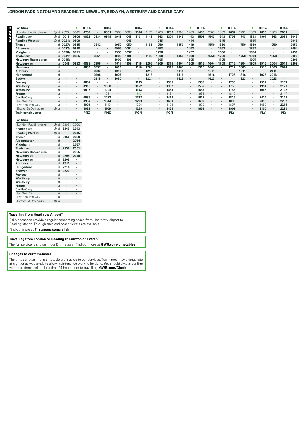# LONDON PADDINGTON AND READING TO NEWBURY, BEDWYN, WESTBURY AND CASTLE CARY

 $= 57$ 

l.  $-$ 

 $= 57$ 

 $\blacksquare$ 

 $\blacksquare$  response

| гаспиеѕ                    |                  |           |      | <b>Liter</b> |      | lli1o÷o    |      |         |            |      |         | ∎lā1o÷o      |      |         | lii1o÷o |      |         | III 10 <sup>4</sup> |      |      | $III1$ $\sim$ |      | $\blacksquare$ $\blacksquare$ $\blacksquare$ |      |
|----------------------------|------------------|-----------|------|--------------|------|------------|------|---------|------------|------|---------|--------------|------|---------|---------|------|---------|---------------------|------|------|---------------|------|----------------------------------------------|------|
| London Paddington $\Theta$ | 15D d            | 2330p     | 0645 | 0752         |      | 0851       | 0900 | 1003    | 1036       | 1103 | 1203    | 1236         | 1303 | 1403    | 1436    | 1503 | 1603    | 1637                | 1703 | 1803 | 1836          | 1903 | 2003                                         |      |
| Reading $\equiv$           | $\circledcirc$ d | 0018      | 0806 | 0822         | 0834 | 0918       | 0943 | 1043    | 1101       | 1143 | 1243    | 1301         | 1343 | 1443    | 1501    | 1543 | 1643    | 1702                | 1743 | 1843 | 1901          | 1943 | 2028                                         | 2043 |
| Reading West               | $(3)$ d          | 0021s     | 0809 |              |      |            |      | 1045    |            |      | 1245    |              |      | 1444    |         |      | 1645    |                     |      | 1845 |               |      |                                              | 2045 |
| Theale                     | d.               | 0027s     | 0815 |              | 0842 |            | 0950 | 1050    |            | 1151 | 1250    | ٠            | 1350 | 1449    | ٠       | 1550 | 1650    | ٠                   | 1750 | 1850 |               | 1950 |                                              | 2050 |
| <b>Aldermaston</b>         |                  | $d$ 0032s | 0818 |              |      |            | 0955 | 1054    |            |      | 1253    |              |      | 1453    | ٠       |      | 1653    |                     |      | 1853 |               |      |                                              | 2054 |
| Midgham                    |                  | $d$ 0036s | 0821 |              |      |            | 0959 | 1057    |            |      | 1256    | $\mathbf{r}$ |      | 1457    | ٠       |      | 1656    | ٠                   |      | 1856 |               |      |                                              | 2056 |
| Thatcham                   |                  | $d$ 0041s | 0825 |              | 0851 |            | 1003 | 1101    |            | 1159 | 1300    |              | 1358 | 1500    | ٠       | 1558 | 1700    | $\bullet$           | 1758 | 1900 |               | 1958 |                                              | 2100 |
| <b>Newbury Racecourse</b>  |                  | 0045s     |      |              |      |            | 1009 | 1105    |            |      | 1305    |              |      | 1505    |         |      | 1705    |                     |      | 1905 |               |      |                                              | 2105 |
| Newbury se                 | a                | 0049      | 0833 | 0838         | 0856 |            | 1011 | 1109    | 1115       | 1205 | 1309    | 1315         | 1404 | 1509    | 1515    | 1604 | 1709    | 1716                | 1804 | 1909 | 1915          | 2004 | 2043                                         | 2109 |
| Newbury set                | d.               |           |      | 0839         | 0857 |            | 1012 |         | 1116       | 1205 | ٠.      | 1316         | 1405 | ٠       | 1516    | 1605 |         | 1717                | 1805 |      | 1916          | 2005 | 2044                                         |      |
| Kintbury                   | d.               |           |      |              | 0903 |            | 1018 |         |            | 1212 |         |              | 1411 |         | ٠       | 1611 |         |                     | 1811 |      |               | 2011 |                                              |      |
| Hungerford                 |                  |           |      |              | 0908 |            | 1023 |         |            | 1216 |         |              | 1416 |         |         | 1616 |         | 1726                | 1816 |      | 1925          | 2016 |                                              |      |
| Bedwyn                     | a                |           |      |              | 0915 |            | 1030 |         |            | 1224 | ٠       |              | 1423 | $\cdot$ |         | 1623 |         |                     | 1823 |      |               | 2023 |                                              |      |
| Pewsey                     |                  |           |      | 0857         |      |            |      |         | 1135       |      | ٠.      | 1335         |      | ٠       | 1535    |      | ٠       | 1738                |      |      | 1937          |      | 2103                                         |      |
| Westbury                   | a                |           |      | 0915         |      | 1000       |      | $\cdot$ | 1152       |      | $\cdot$ | 1352         |      | $\cdot$ | 1552    |      |         | 1755                |      |      | 1954          |      | 2120                                         |      |
| Westbury                   | d                |           |      | 0917         |      | 1004       |      |         | 1153       |      |         | 1353         |      |         | 1553    |      |         | 1756                |      |      | 1955          |      | 2122                                         |      |
| Frome                      | a                |           |      |              |      | 1031       |      | $\cdot$ | 1240i      |      | ٠       | 1431         |      | $\cdot$ | 1638    |      | $\cdot$ | 1846                |      |      |               |      | 2147                                         |      |
| <b>Castle Cary</b>         | a                |           |      | 0935         |      | 1023       |      |         | 1212       |      |         | 1412         |      | ٠       | 1612    |      |         | 1815                |      |      | 2014          |      | 2141                                         |      |
| Taunton æ                  | $\mathbf{a}$     |           |      | 0957         |      | 1044       |      |         | 1233       |      | $\cdot$ | 1433         |      | $\cdot$ | 1633    |      |         | 1836                |      |      | 2035          |      | 2202                                         |      |
| Tiverton Parkway           | a                |           |      | 1009         |      | 1116       |      |         | 1254       |      |         | 1454         |      |         | 1655    |      |         | 1857                |      |      | 2055          |      | 2215                                         |      |
| Exeter St Davids           | 6a               |           |      | 1024         |      | 1109       |      |         | 1259       |      | $\cdot$ | 1458         |      |         | 1659    |      |         | 1901                |      |      | 2100          |      | 2230                                         |      |
| Train continues to         |                  |           |      | <b>PNZ</b>   |      | <b>PNZ</b> |      |         | <b>PGN</b> |      |         | <b>PGN</b>   |      |         |         |      |         | <b>PLY</b>          |      |      | PLY           |      | <b>PLY</b>                                   |      |
|                            |                  |           |      |              |      |            |      |         |            |      |         |              |      |         |         |      |         |                     |      |      |               |      |                                              |      |

 $= 57$ 

| Facilities                 |                   |      |      |
|----------------------------|-------------------|------|------|
| London Paddington $\Theta$ | ை<br>$\mathsf{d}$ | 2103 | 2200 |
| Reading s                  | $^\circledR$<br>d | 2143 | 2243 |
| Reading West               | $\circled{3}$ d   |      | 2245 |
| Theale                     | d                 | 2150 | 2250 |
| <b>Aldermaston</b>         | d                 |      | 2254 |
| Midgham                    | d                 |      | 2257 |
| <b>Thatcham</b>            | d                 | 2158 | 2301 |
| <b>Newbury Racecourse</b>  | d                 |      | 2305 |
| Newbury s                  | a                 | 2204 | 2310 |
| Newbury <i>s</i> ⊟         | d                 | 2205 |      |
| Kintbury                   | d                 | 2211 |      |
| Hungerford                 | d                 | 2216 |      |
| Bedwyn                     | a                 | 2223 | ٠    |
| Pewsey                     | d                 |      | ٠    |
| Westbury                   | a                 |      |      |
| Westbury                   | d                 |      | ٠    |
| <b>Frome</b>               | a                 |      | ٠    |
| <b>Castle Cary</b>         | a                 |      | ٠    |
| Taunton s                  | a                 |      | ٠    |
| <b>Tiverton Parkway</b>    | a                 |      |      |
| $F \vee$ atar $S$ t Davide | ഭി<br>$\Delta$    |      |      |

# **Travelling from Heathrow Airport?**

RailAir coaches provide a regular connecting coach from Heathrow Airport to Reading station. Through train and coach tickets are available.

Find out more at Firstgroup.com/railair

# Travelling from London or Reading to Taunton or Exeter?

The full service is shown in our D timetable. Find out more at GWR.com/timetables

# **Changes to our timetables**

The times shown in this timetable are a guide to our services. Train times may change late<br>at night or at weekends to allow maintenance work to be done. You should always confirm your train times online, less than 24 hours prior to travelling: **GWR.com/Check**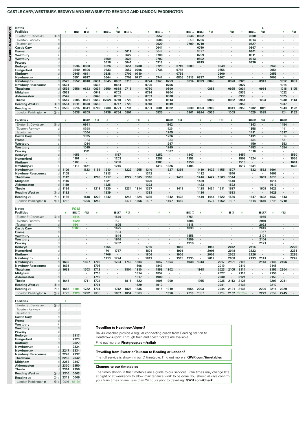#### **CASTLE CARY, WESTBURY, BEDWYN AND NEWBURY TO READING AND LONDON PADDINGTON**

| <b>Notes</b><br><b>Facilities</b> |                    | x                        | $\Box$ R   | J<br>$\Box$ R | ı            | ∎в≂                  | K<br>利日              | ■⊓∓       |                      | ×                        | ■⊓≂                  | ×                    |                      | ■日ま           | ■⊓≂                  | 9日           |         | 9日             | 4                    | ∎⊟ਨ                  | L<br>利品              |              | z                        |
|-----------------------------------|--------------------|--------------------------|------------|---------------|--------------|----------------------|----------------------|-----------|----------------------|--------------------------|----------------------|----------------------|----------------------|---------------|----------------------|--------------|---------|----------------|----------------------|----------------------|----------------------|--------------|--------------------------|
| Exeter St Davids                  | 6d                 |                          |            |               |              |                      |                      |           |                      |                          | 0552                 |                      |                      | 0646          | 0652                 |              |         |                |                      | 0800                 | l.                   |              |                          |
|                                   |                    | ٠                        |            |               |              |                      |                      |           |                      |                          | 0606                 |                      |                      |               | 0706                 |              |         |                |                      |                      | ×,                   |              |                          |
| Tiverton Parkway                  | d<br>d             | $\cdot$                  |            |               |              |                      |                      |           |                      | ٠                        | 0620                 |                      | ٠<br>$\cdot$         | 0650<br>0709  | 0719                 |              |         | ٠              | ٠<br>÷               | 0814<br>0827         | $\cdot$              |              |                          |
| Taunton s                         |                    |                          |            |               |              |                      |                      |           |                      |                          |                      |                      |                      |               |                      |              |         |                |                      |                      |                      |              |                          |
| <b>Castle Cary</b>                | d                  | $\cdot$                  | $\cdot$    | ٠             | ٠            |                      | ٠                    |           | $\cdot$              |                          | 0641                 | $\cdot$              | ٠                    | $\cdot$       | 0740                 |              | $\cdot$ | $\cdot$        | $\cdot$              | 0847<br>0901         | ٠                    |              |                          |
| <b>Frome</b>                      | d                  |                          |            |               |              |                      |                      | 0612      |                      |                          | 0642                 |                      |                      |               | 0727                 |              |         |                |                      |                      |                      |              |                          |
| Westbury                          | a                  |                          |            |               |              |                      | i.                   | 0622      | ä,                   |                          | 0700                 | $\cdot$              |                      |               | 0759                 |              |         |                |                      | 0911                 | i.                   |              |                          |
| Westbury                          | $\mathsf d$        | $\overline{\phantom{a}}$ | $\cdot$    |               | $\cdot$      | 0559                 | $\ddot{\phantom{a}}$ | 0623      | $\cdot$              |                          | 0702                 |                      | J.                   |               | 0802                 |              |         |                | ÷                    | 0913                 | $\ddot{\phantom{a}}$ |              |                          |
| Pewsey                            | d                  | $\cdot$                  | $\lambda$  |               | $\cdot$      | 0616                 | $\cdot$              | 0641      | $\cdot$              |                          | 0719                 | $\cdot$              | $\ddot{\phantom{a}}$ |               | 0819                 |              |         | $\sim$         | $\cdot$              | 0930                 | $\cdot$              | $\mathbf{r}$ |                          |
| Bedwyn                            | d                  | $\cdot$                  | 0534       | 0600          | ٠            | 0626                 | ٠                    | 0651      | 0700                 |                          | 0729                 |                      | 0749                 | 0803          |                      |              | 0849    |                |                      |                      |                      | 0948         |                          |
| Hungerford                        | d                  | $\cdot$                  | 0540       | 0606          | $\cdot$      | 0633                 | ٠                    | 0657      | 0706                 | $\cdot$                  | 0736                 |                      | 0755                 |               |                      |              | 0855    | ٠              | l,                   |                      | $\cdot$              | 0954         |                          |
| Kintbury                          | d                  |                          | 0545       | 0611          |              | 0638                 |                      | 0702      | 0710                 |                          | $\cdot$              |                      | 0759                 |               |                      |              | 0900    |                |                      |                      |                      | 0959         |                          |
| Newbury s                         | a                  | $\ddot{\phantom{a}}$     | 0551       | 0617          | $\cdot$      | 0644                 | $\cdot$              | 0708      | 0717                 | $\cdot$                  | 0744                 | $\cdot$              | 0806                 | 0813          | 0837                 | $\cdot$      | 0907    | $\cdot$        | $\mathbf{r}$         |                      | $\lambda$            | 1006         | $\overline{\phantom{a}}$ |
| Newbury s                         | $\mathsf d$        | 0529                     | 0552       | 0618          | 0631         | 0645                 | 0652                 | 0710      |                      | 0724                     | 0745                 | 0753                 |                      | 0814          | 0839                 | 0845         |         | 0920           | 0925                 |                      | 0947                 |              | 1012                     |
| <b>Newbury Racecourse</b>         | d                  | 0531                     |            | ä,            | 0633         |                      | 0654                 |           |                      | 0726                     | $\cdot$              | 0756                 | ä,                   |               |                      |              | ×       |                | 0927                 | ٠                    |                      |              | 1014                     |
| <b>Thatcham</b>                   | d                  | 0535                     | 0556       | 0623          | 0637         | 0650                 | 0658                 | 0715      |                      | 0730                     | $\cdot$              | 0800                 |                      |               |                      | 0853         |         | 0925           | 0931                 |                      | 0954                 |              | 1018                     |
| Midgham                           | d                  | 0539                     | $\cdot$    | $\cdot$       | 0642         | $\cdot$              | 0702                 | $\cdot$   |                      | 0734                     | $\cdot$              | 0804                 | ٠                    |               | ٠                    | $\cdot$      | $\cdot$ | $\cdot$        | 0935                 | $\cdot$              | $\cdot$              | $\cdot$      | 1022                     |
| <b>Aldermaston</b>                | d                  | 0542                     |            |               | 0645         |                      | 0705                 |           |                      | 0737                     |                      | 0808                 |                      |               |                      |              |         |                | 0938                 |                      | $\ddot{\phantom{0}}$ |              | 1025                     |
| <b>Theale</b>                     | d                  | 0547                     | 0605       | 0631          | 0650         | 0702k                | 0710                 | 0723      |                      | 0742                     | $\cdot$              | 0813                 | ٠                    |               |                      | 0900         |         | 0932           | 0944                 | ٠                    | 1003                 |              | 1030                     |
| Reading West                      | $\circled{3}$ d    | 0554                     | 0611       | 0638          | 0656         |                      | 0717                 | 0729      |                      | 0748                     |                      | 0819                 |                      |               |                      |              |         |                | 0950                 |                      | $\cdot$              |              | 1037                     |
| Reading $\equiv$                  | $\circledcirc$ a   | 0559                     | 0614       | 0641          | 0700         | 0708                 | 0721                 | 0731      | $\cdot$              | 0751                     | 0801                 | 0822                 | $\cdot$              | 0830          | 0853                 | 0909         | $\cdot$ | 0941           | 0955                 | 1002                 | 1011                 | $\cdot$      | 1043                     |
| London Paddington $\Theta$        | $15 a$             |                          | 0638       | 0709          | ÷,           | 0736                 | 0754                 | 0801      | $\epsilon$           | $\cdot$                  | 0835                 |                      |                      | 0901          | 0924                 | 0936         | ä,      | 1009           | $\ddot{\phantom{0}}$ | 1029                 | 1039                 |              | 1124                     |
|                                   |                    |                          |            |               |              |                      |                      |           |                      |                          |                      |                      |                      |               |                      |              |         |                |                      |                      |                      |              |                          |
| <b>Facilities</b>                 |                    | x                        |            | ∎⊞क्र         | #国           | ×                    |                      | ×         | 月 日                  | ×                        |                      | ■■₹                  | 利日                   |               | 4                    | x            | 月 日     | ¥.             |                      | ∎⊪क                  | 利日                   | ¥            | ■੩ਨ                      |
| Exeter St Davids =                | 6 d                |                          |            | 0941          |              |                      |                      |           |                      |                          |                      | 1142                 |                      |               |                      |              |         |                |                      | 1343                 |                      |              | 1454                     |
| Tiverton Parkway                  | d                  | ٠                        |            | 0929          |              |                      |                      |           |                      |                          |                      | 1129                 |                      |               |                      |              |         |                |                      | 1358                 | $\cdot$              |              | 1441                     |
| Taunton s                         | $\sf d$            |                          | $\cdot$    | 1004          | $\cdot$      |                      |                      |           |                      |                          | $\cdot$              | 1205                 |                      |               |                      |              |         |                |                      | 1411                 | $\cdot$              |              | 1517                     |
| <b>Castle Cary</b>                | d                  | ٠                        |            | 1025          | $\cdot$      |                      |                      |           |                      | $\cdot$                  |                      | 1226                 | $\cdot$              |               | $\cdot$              |              |         |                | ÷.                   | 1431                 | $\cdot$              | $\cdot$      | 1514                     |
| <b>Frome</b>                      | d                  |                          |            | 1023          |              |                      |                      |           |                      |                          |                      | 1233                 |                      |               |                      |              |         |                |                      | 1434                 |                      |              | 1531                     |
| Westbury                          | a                  |                          | ٠          | 1044          |              |                      |                      |           |                      |                          | ٠                    | 1247                 |                      |               |                      |              |         |                |                      | 1450                 |                      |              | 1553                     |
| Westbury                          | $\mathsf d$        | $\cdot$                  | $\cdot$    | 1045          | $\cdot$      |                      |                      |           |                      |                          | $\cdot$              | 1249                 | $\overline{a}$       |               |                      |              |         |                | $\cdot$              | 1453                 | $\cdot$              |              | 1554                     |
| Pewsey                            | d                  | $\cdot$                  |            | 1101          | $\cdot$      |                      |                      |           |                      |                          | $\ddot{\phantom{0}}$ | 1307                 | $\ddot{\phantom{a}}$ |               |                      |              |         | $\cdot$        | $\ddot{\phantom{a}}$ | 1510                 |                      |              | $\ddot{\phantom{a}}$     |
| Bedwyn                            | d                  | $\cdot$                  | 1055       |               |              |                      | 1157                 |           |                      |                          | 1252                 |                      |                      | 1347          |                      |              |         |                | 1457                 |                      |                      |              |                          |
| Hungerford                        | d                  | $\cdot$                  | 1101       | $\cdot$       |              | ÷.                   | 1203                 |           |                      |                          | 1258                 | $\cdot$              |                      | 1353          |                      |              |         |                | 1503                 | 1524                 |                      |              |                          |
| Kintbury                          | d                  |                          | 1106       |               |              |                      | 1208                 |           |                      |                          | 1303                 |                      |                      | 1358          |                      |              |         |                | 1510                 | $\cdot$              |                      |              |                          |
| Newbury set                       | a                  | $\cdot$                  | 1113       | 1121          | $\mathbf{r}$ | $\mathbf{r}$         | 1215                 |           |                      | $\overline{\phantom{a}}$ | 1313                 | 1326                 | $\cdot$              | 1405          | $\mathbf{r}$         |              |         | $\cdot$        | 1517                 | 1531                 | $\cdot$              |              |                          |
|                                   | $\mathsf d$        | 1106                     | ÷,         | 1123          | 1154         | 1210                 |                      | 1222      | 1255                 | 1310                     |                      | 1327                 | 1355                 |               | 1410                 | 1422         | 1455    | 1507           |                      | 1532                 | 1552                 | 1604         |                          |
| Newbury s                         |                    |                          |            |               |              |                      |                      |           |                      |                          |                      |                      |                      |               |                      |              |         |                |                      |                      |                      |              |                          |
| <b>Newbury Racecourse</b>         | d                  | 1108                     |            |               |              | 1213                 | à.                   |           |                      | 1312                     |                      |                      |                      |               | 1412                 |              |         | 1510           |                      |                      |                      | 1606         |                          |
| <b>Thatcham</b>                   | d                  | 1112                     |            |               | 1203         | 1217                 |                      | 1227      | 1305                 | 1316                     |                      |                      | 1403                 |               | 1416                 | 1427         | 1503    | 1514           |                      |                      | 1601                 | 1610         |                          |
| Midgham                           | d                  | 1116                     | $\cdot$    |               | $\cdot$      | 1221                 | $\cdot$              | $\cdot$   | $\cdot$              | 1320                     | $\cdot$              |                      | $\cdot$              |               | 1420                 | $\cdot$      |         | 1518           | $\cdot$              |                      | $\cdot$              | 1614         | ٠                        |
| <b>Aldermaston</b>                | d                  | 1119                     |            |               |              | 1225                 |                      |           |                      | 1323                     |                      |                      |                      |               | 1423                 |              |         | 1522           |                      |                      |                      | 1617         |                          |
| <b>Theale</b>                     | d                  | 1124                     |            |               | 1211         | 1230                 | à.                   | 1234      | 1314                 | 1327                     | $\cdot$              |                      | 1411                 |               | 1428                 | 1434         | 1511    | 1527           | ¥                    |                      | 1609                 | 1622         |                          |
| Reading West                      | $\circled{3}$<br>d | 1132                     |            |               |              | 1239                 |                      |           |                      | 1333                     |                      |                      |                      |               | 1436                 |              |         | 1533           |                      |                      |                      | 1629         |                          |
| Reading $\equiv$                  | $\circledcirc$ a   | 1136                     | $\cdot$    | 1138          | 1222         | 1242                 | ٠                    | 1245      | 1324                 | 1336                     | $\cdot$              | 1342                 | 1422                 | $\cdot$       | 1440                 | 1444         | 1522    | 1536           | ÷.                   | 1547                 | 1622                 | 1632         | 1643                     |
| London Paddington $\Theta$        | $15 a$             | 1212                     | $\epsilon$ | 1206          | 1252         |                      | ä,                   | 1324      | 1356                 | 1407                     | ÷.                   | 1407                 | 1450                 | $\mathcal{L}$ | $\ddot{\phantom{0}}$ | 1524         | 1552    | 1607           | ä,                   | 1614                 | 1649                 | 1706         | 1710                     |
|                                   |                    |                          |            |               |              |                      |                      |           |                      |                          |                      |                      |                      |               |                      |              |         |                |                      |                      |                      |              |                          |
| <b>Notes</b>                      |                    | ×                        | <b>FOM</b> |               |              |                      |                      |           |                      |                          |                      |                      |                      |               | k,                   |              |         |                | ŝ                    |                      |                      |              |                          |
| <b>Facilities</b>                 |                    |                          | ∎⊟ਨ        | 利田            | ¥            |                      | ∎⊞क्र                | 利田        | ı                    |                          | ı                    |                      |                      | ■日素           |                      |              | ı       | $\blacksquare$ |                      |                      | ∎⊞क्र                | 4            | 利田                       |
| Exeter St Davids                  | 6d                 |                          | 1514       |               |              |                      | 1540                 |           |                      |                          |                      |                      |                      | 1751          |                      |              |         |                |                      |                      | 1955                 |              |                          |
| Tiverton Parkway                  | d                  | $\cdot$                  | 1529       | ×,            |              | ¥                    | 1541                 | $\cdot$   |                      |                          |                      |                      |                      | 1806          |                      |              |         |                | ä,                   |                      | 2010                 |              |                          |
| Taunton s                         | d                  |                          | 1541       |               |              |                      | 1605                 |           |                      |                          |                      |                      |                      | 1818          | $\ddot{\phantom{0}}$ |              |         |                |                      |                      | 2023                 |              |                          |
| <b>Castle Cary</b>                | d                  | $\cdot$                  | 1602u      | $\cdot$       | $\cdot$      | $\ddot{\phantom{a}}$ | 1625                 | $\lambda$ | $\ddot{\phantom{a}}$ |                          | $\ddot{\phantom{a}}$ | $\ddot{\phantom{a}}$ | ÷,                   | 1839          | ä,                   |              | $\cdot$ | $\cdot$        | ÷.                   | $\ddot{\phantom{a}}$ | 2043                 | $\cdot$      | $\ddot{\phantom{a}}$     |
| <b>Frome</b>                      | $\mathsf d$        |                          |            |               |              |                      | 1624                 |           |                      |                          |                      |                      |                      |               |                      |              |         |                |                      |                      | 1957                 |              |                          |
| Westbury                          | $\overline{a}$     |                          |            |               |              | $\mathbf{r}$         | 1644                 |           |                      |                          |                      |                      |                      | 1858          | $\lambda$            |              |         |                |                      |                      | 2101                 |              |                          |
| Westbury                          | $\sf d$            |                          |            |               |              |                      | 1646                 |           |                      |                          |                      |                      |                      | 1859          | $\cdot$              |              |         |                |                      |                      | 2104                 |              |                          |
|                                   |                    |                          |            |               |              |                      | 1702                 |           |                      |                          |                      |                      | ٠                    | 1916          | $\ddot{\phantom{a}}$ |              |         |                |                      |                      | 2121                 |              |                          |
|                                   | d                  |                          |            |               |              |                      |                      |           |                      |                          |                      |                      |                      |               |                      |              |         |                |                      |                      |                      |              |                          |
| Pewsey                            |                    |                          |            |               |              |                      | $\ddot{\phantom{0}}$ |           |                      |                          |                      |                      |                      |               |                      |              |         |                |                      |                      |                      |              |                          |
| Bedwyn<br>Hungerford              | d<br>d             |                          |            |               |              | 1655<br>1701         | 1717                 |           |                      | 1755<br>1801             |                      |                      | 1855<br>1901         |               | $\cdot$              | 1955<br>2001 | $\cdot$ | 2042<br>2048   | $\mathbf{r}$         | 2116<br>2122         | $\cdot$              |              |                          |

**Facilities**<br>Exeter St Davids

| Tiverton Parkway            | d            | ٠    |       |
|-----------------------------|--------------|------|-------|
| Taunton s                   | d            |      | ٠     |
| <b>Castle Cary</b>          | d            | è    |       |
| <b>Frome</b>                | d            |      |       |
| Westbury                    | a            | è    |       |
| Westbury                    | $\mathsf{d}$ |      |       |
| Pewsey                      | d            | è    | ٠     |
| Bedwyn                      | d            |      | 2317  |
| Hungerford                  | d            | è    | 2323  |
| Kintbury                    | d            |      | 2327  |
| Newbury s                   | a            |      | 2334  |
| Newbury <i>s</i>            | d            | 2247 | 2334  |
| <b>Newbury Racecourse</b>   | d            | 2249 | 2337  |
| Thatcham                    | d            | 2253 | 2342  |
| <b>Midgham</b>              | d            | 2257 | 2347  |
| <b>Aldermaston</b>          | d            | 2300 | 2350  |
| <b>Theale</b>               | d            | 2304 | 2356  |
| Reading West                | d<br>③       | 2310 | 0003  |
| Reading                     | ⑦<br>a       | 2313 | 0006  |
| London Paddington $\bullet$ | $(5)$<br>a   | 0016 | 0113n |

Exeter St Davids <del>and</del> **6** d **·** ·

#### **Travelling to Heathrow Airport?**

RailAir coaches provide a regular connecting coach from Reading station to Heathrow Airport. Through train and coach tickets are available. Find out more at **Firstgroup.com/railair**

**Newbury** ¬ a **· · · · 1713 1724 · · 1813 · · 1915 1935 · 2012 · 2058 · 2133 2141 · · 2242** Newbury.⊜∋ d│ 1632 1657 1706 1724 1755 1804 1847 1854 1938 1943 2017 2101 2108 2143 2146 2156 **Newbury Racecourse** d **1635 · · 1708 · · · 1806 · 1849 · · · · · 2019 · 2110 · · 2148 · ·** Thatcham d│1639 1703 1712 1804 1810 1853 1902 1948 2023 2105 2114 2152 2204 Midgham d│ 1716 1814 1857 2027 2118 2156 Aldermaston d│ 1719 1817 1900 2030 2121 2159 Theale d│ 1646 1711 1724 1816 1822 1905 1909 1955 2035 2113 2126 2203 2211 **Reading West** ¬ Ă d **· · · 1731 · · · 1829 · 1912 · · · · · 2041 · 2133 · · 2210 · · Reading** ¬ Ć a **1655 1701 1722 1734 · 1742 1825 1835 · 1915 1919 · 1954 2003 · 2044 2121 2136 · 2200 2214 2220 ·** London Paddington ● 6 a 1729 1752 1805 1807 1854 1909 1854 1909 1910 192037 2019 2037 2124 2152 2209m 2229 2254 2245

**Travelling from Exeter or Taunton to Reading or London?** The full service is shown in our D timetable. Find out more at **GWR.com/timetables**

# **Changes to our timetables**

The times shown in this timetable are a guide to our services. Train times may change late at night or at weekends to allow maintenance work to be done. You should always confirm your train times online, less than 24 hours prior to travelling: **GWR.com/Check**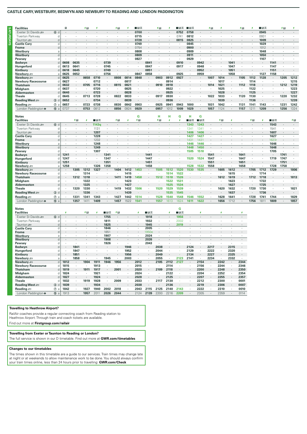#### **CASTLE CARY, WESTBURY, BEDWYN AND NEWBURY TO READING AND LONDON PADDINGTON**

|                                              |                  | п                    |                                 | チ目                   | ×          |                             | / ⊞       | Ŧ                    | ∎⊞ऊ            |                      | /日        | ţ            | ■⊓≂          | ∎⊪क        |                      | 月 月                  | Ŧ       |              | 月 日           | Ŧ       | ■⊓≂                  |         | ∮圓      | s       |
|----------------------------------------------|------------------|----------------------|---------------------------------|----------------------|------------|-----------------------------|-----------|----------------------|----------------|----------------------|-----------|--------------|--------------|------------|----------------------|----------------------|---------|--------------|---------------|---------|----------------------|---------|---------|---------|
| Exeter St Davids                             | 6d               | $\cdot$              |                                 |                      |            |                             |           |                      | 0700           |                      | $\cdot$   |              | 0752         | 0758       |                      |                      |         |              |               |         | 0945                 |         |         |         |
| Tiverton Parkway                             | d                |                      |                                 |                      |            |                             | $\cdot$   |                      | 0715           |                      | $\cdot$   |              | 0741         | 0812       | $\cdot$              |                      |         |              |               | $\cdot$ | 0931                 |         |         | $\cdot$ |
| Taunton <del>s</del>                         | d                |                      |                                 |                      |            |                             |           |                      | 0728           |                      |           |              | 0815         | 0825       |                      |                      |         |              |               |         | 1009                 |         |         |         |
| <b>Castle Cary</b>                           | d                | ٠                    | $\ddot{\phantom{a}}$            |                      |            |                             | ٠         | ï                    | 0749           |                      | $\cdot$   | ï            |              | 0845       | ٠                    |                      |         |              |               | ł.      | 1029                 |         |         | $\cdot$ |
| <b>Frome</b>                                 | d                |                      |                                 |                      |            |                             |           |                      | 0754           |                      |           |              |              | 0900       |                      |                      |         |              |               |         | 1012                 |         |         |         |
| Westbury                                     | $\overline{a}$   |                      |                                 |                      |            |                             |           |                      | 0808           |                      |           |              |              | 0909       |                      |                      |         |              |               |         | 1048                 |         |         |         |
| Westbury                                     | d                |                      |                                 |                      |            |                             |           |                      | 0809           |                      |           |              |              | 0911       |                      |                      |         |              |               |         | 1050                 |         |         |         |
| Pewsey                                       | d                |                      |                                 |                      |            |                             |           | $\cdot$              | 0827           |                      |           |              |              | 0929       |                      |                      |         |              |               | $\cdot$ | 1107                 |         |         |         |
| Bedwyn                                       | d                | 0608                 | 0635                            |                      |            | 0739                        |           |                      |                | 0841                 |           |              | 0910         | $\cdot$    | 0942                 |                      |         | 1041         |               |         |                      | 1141    |         |         |
| Hungerford                                   | d                | 0613                 | 0641                            | $\cdot$              |            | 0745                        | ٠         | ٠                    | $\cdot$        | 0847                 | ٠         | $\cdot$      | 0917         | $\cdot$    | 0948                 | ٠                    | $\cdot$ | 1047         | $\cdot$       | ٠       | ٠                    | 1147    | ٠       | ٠       |
| Kintbury                                     | d                | 0618                 | 0645                            |                      |            | 0749                        |           |                      |                | 0851                 |           |              |              |            | 0952                 |                      |         | 1051         |               |         |                      | 1151    |         |         |
| Newbury s                                    | a                | 0625                 | 0652                            |                      |            | 0756                        |           | ×,                   | 0847           | 0858                 |           |              | 0925         | $\epsilon$ | 0959                 |                      | $\cdot$ | 1058         |               |         | 1127                 | 1158    |         |         |
| Newbury s                                    | d                | 0625                 |                                 | 0658                 | 0710       |                             | 0808      | 0814                 | 0848           |                      | 0903      | 0912         | 0927         | $\epsilon$ |                      | 1007                 | 1014    |              | 1105          | 1112    | 1128                 |         | 1205    | 1212    |
| <b>Newbury Racecourse</b>                    | d                | 0627                 | ٠                               | $\cdot$              | 0712       | $\cdot$                     | ٠         | 0817                 |                | $\cdot$              | ٠         | 0914         |              | $\cdot$    | ٠                    | $\cdot$              | 1017    | ٠            | $\cdot$       | 1114    | $\cdot$              | $\cdot$ | ٠       | 1215    |
| <b>Thatcham</b>                              | d                | 0632                 | $\centering \label{eq:reduced}$ | 0705                 | 0716       |                             | 0815      | 0821                 |                |                      | 0910      | 0918         |              |            |                      | 1014                 | 1021    |              | 1112          | 1118    |                      |         | 1212    | 1219    |
| <b>Midgham</b>                               | d                | 0637                 |                                 |                      | 0720       |                             |           | 0825                 | ä,             |                      |           | 0922         |              |            |                      |                      | 1025    |              | $\cdot$       | 1122    | ï                    |         |         | 1223    |
| <b>Aldermaston</b>                           | d<br>d           | 0640                 | $\cdot$<br>×,                   |                      | 0723       |                             |           | 0828                 |                |                      |           | 0925         |              |            |                      | $\cdot$              | 1028    |              | $\cdot$       | 1125    | ×,                   |         |         | 1227    |
| <b>Theale</b>                                |                  | 0645                 |                                 | 0713                 | 0728       | $\cdot$                     | 0822      | 0833                 |                |                      | 0917      | 0930         |              |            | $\cdot$              | 1022                 | 1033    |              | 1120          | 1130    |                      |         | 1220    | 1232    |
| Reading West                                 | $\circled{3}$ d  | 0652                 |                                 | ÷                    | 0734       |                             | $\cdot$   | 0839                 |                |                      | $\cdot$   | 0936         |              |            | ٠                    |                      | 1039    |              |               | 1136    | ٠                    |         | ٠       | 1239    |
| Reading $\equiv$                             | $①$ a            | 0657                 | $\cdot$                         | 0723                 | 0738       | $\mathcal{L}_{\mathcal{A}}$ | 0830      | 0842                 | 0903           | $\cdot$              | 0925      | 0941         | 0943         | 1000       | $\mathbf{r}$         | 1031                 | 1042    | $\cdot$      | 1131          | 1141    | 1143                 | $\cdot$ | 1231    | 1242    |
| London Paddington $\Theta$                   | $15 a$           | 0737                 | $\cdot$                         | 0753                 | 0812       |                             | 0856      | 0924                 | 0929           |                      | 0957      | 1012         | 1009         | 1029       | ä,                   | 1057                 | 1124    | $\cdot$      | 1157          | 1211    | 1209                 |         | 1256    | 1324    |
|                                              |                  |                      |                                 |                      |            |                             |           |                      |                |                      |           |              |              |            |                      |                      |         |              |               |         |                      |         |         |         |
| <b>Notes</b>                                 |                  |                      |                                 |                      |            |                             |           |                      | G              |                      | н         | н            | G            | н          | G                    |                      |         |              |               |         |                      |         |         |         |
| <b>Facilities</b>                            |                  |                      | 利品                              |                      | ■⊓≂        |                             | 利田        | ¥                    | 州              |                      | 利日        | ¢,           | Ŧ            | ■日素        | ■⊞क्र                |                      | 和日      | 4            |               | 利田      | ¥                    | ■⊓≂     |         | 和日      |
| Exeter St Davids                             | 6d               |                      |                                 |                      | 1143q      |                             |           |                      |                |                      |           |              |              | 1343       | 1343                 |                      |         |              |               |         |                      | 1543    |         | $\cdot$ |
| Tiverton Parkway                             | d                |                      |                                 |                      | 1131       |                             |           |                      |                |                      |           | í,           |              | 1341       | 1341                 |                      |         |              |               |         |                      | 1541    |         |         |
| Taunton s                                    | d                |                      |                                 |                      | 1207       |                             |           |                      |                |                      |           |              |              | 1406       | 1406                 |                      |         |              |               |         |                      | 1607    |         |         |
| <b>Castle Cary</b>                           | d                | ٠                    | ٠                               |                      | 1228       | $\cdot$                     |           | $\ddot{\phantom{a}}$ |                |                      | ×         | ×            |              | 1427       | 1427                 | $\cdot$              |         |              |               | ٠       | ٠                    | 1627    |         | ٠       |
| Frome                                        | d                |                      |                                 |                      | 1232       |                             |           |                      |                |                      |           |              |              | 1431       | 1431                 |                      |         |              |               |         |                      | 1623r   |         |         |
| Westbury                                     | a                |                      |                                 |                      | 1248       |                             |           |                      |                |                      |           |              |              | 1446       | 1446                 |                      |         |              |               |         |                      | 1646    |         |         |
| Westbury                                     | d                | $\cdot$              | $\cdot$                         | $\blacksquare$       | 1249       | $\cdot$                     |           | $\cdot$              |                |                      |           |              |              | 1448       | 1450                 | $\cdot$              |         |              | ÷,            |         | $\cdot$              | 1648    | $\cdot$ | $\cdot$ |
| Pewsev                                       | d                |                      |                                 |                      | 1307       |                             |           |                      |                |                      |           |              |              | 1505       | 1510                 |                      |         |              |               |         |                      | 1705    | ٠       | ٠       |
| Bedwyn                                       | d                | 1241                 |                                 |                      |            | 1341                        |           |                      |                | 1441                 |           |              |              |            |                      | 1541                 |         |              | 1641          |         |                      |         | 1741    |         |
| Hungerford                                   | d                | 1247                 | $\ddot{\phantom{a}}$            | $\ddot{\phantom{a}}$ | $\cdot$    | 1347                        |           |                      |                | 1447                 | ×.        |              |              | 1520       | 1524                 | 1547                 | $\cdot$ |              | 1647          | ÷,      | $\ddot{\phantom{a}}$ | 1719    | 1747    | $\cdot$ |
| Kintbury                                     | d                | 1251                 |                                 |                      |            | 1351                        |           |                      |                | 1451                 |           |              |              |            |                      | 1551                 |         |              | 1651          |         |                      |         | 1751    |         |
| Newbury =                                    | a                | 1258                 |                                 | $\cdot$              | 1326       | 1358                        |           |                      |                | 1458                 |           |              |              | 1528       | 1532                 | 1558                 | $\cdot$ |              | 1658          | $\cdot$ |                      | 1728    | 1758    | $\cdot$ |
| Newbury s                                    | d                |                      | 1305                            | 1312                 | 1327       |                             | 1404      | 1412                 | 1453           |                      | 1505      | 1512         | 1520         | 1530       | 1535                 |                      | 1605    | 1612         | $\cdot$       | 1705    | 1712                 | 1729    |         | 1806    |
| <b>Newbury Racecourse</b><br><b>Thatcham</b> | d<br>d           | ٠                    | ٠                               | 1314<br>1318         |            | $\cdot$                     |           | 1415<br>1419         |                | ٠                    | ٠         | 1514<br>1518 | 1522<br>1526 | ×          |                      |                      | 1612    | 1615<br>1619 | $\cdot$       |         | 1714<br>1718         |         | ٠       | 1813    |
|                                              |                  |                      | 1312<br>$\cdot$                 | 1322                 | $\cdot$    | ٠                           | 1411<br>٠ | 1423                 | 1458           | $\ddot{\phantom{a}}$ | 1512<br>× | 1522         | 1531         | ×          | ٠                    | ٠                    | ٠       | 1623         | $\cdot$       | 1712    |                      |         | ٠       | ٠       |
|                                              |                  |                      |                                 |                      |            |                             |           |                      |                |                      |           |              |              |            |                      |                      |         |              |               |         |                      |         |         | $\cdot$ |
| <b>Midgham</b>                               | d                | ٠                    |                                 |                      |            |                             |           |                      |                |                      |           |              |              |            |                      |                      |         |              |               | ٠       | 1722                 |         |         |         |
| <b>Aldermaston</b>                           | d                |                      | ÷,                              | 1325                 |            |                             |           | 1427                 |                |                      | ×         | 1525         | 1534         |            |                      |                      |         | 1627         |               |         | 1725                 |         |         |         |
| <b>Theale</b>                                | d                | $\cdot$              | 1320                            | 1330                 | $\cdot$    | $\cdot$                     | 1419      | 1432                 | 1506           | ٠                    | 1520      | 1529         | 1539         | ×          | ä,                   | ×,                   | 1620    | 1632         | $\cdot$       | 1720    | 1730                 | $\cdot$ |         | 1821    |
| Reading West                                 | $3$ d            |                      |                                 | 1336                 |            |                             |           | 1439                 | ×              |                      |           | 1535         | 1545         | ×          |                      |                      |         | 1637         |               |         | 1736                 |         |         |         |
| Reading $\equiv$                             | $\circledcirc$ a | $\cdot$              | 1331                            | 1341                 | 1343       | $\cdot$                     | 1427      | 1442                 | 1514           |                      | 1528      | 1540         | 1548         | 1546       | 1552                 |                      | 1628    | 1641         | $\cdot$       | 1728    | 1741                 | 1744    | $\cdot$ | 1829    |
| London Paddington $\bullet$                  | ⑮ a              | $\cdot$              | 1357                            | 1411                 | 1409       | $\cdot$                     | 1457      | 1522                 | 1541           | $\cdot$              | 1557      | 1613         | 1624         | 1611       | 1622                 | $\cdot$              | 1656    | 1712         | $\cdot$       | 1756    | 1811                 | 1809    | $\cdot$ | 1857    |
|                                              |                  |                      |                                 |                      |            |                             |           |                      |                |                      |           |              |              |            |                      |                      |         |              |               |         |                      |         |         |         |
| <b>Notes</b>                                 |                  | z                    |                                 |                      | $\epsilon$ |                             |           |                      | x              |                      |           | x            | G            |            | t,                   |                      | ×       |              | s             |         |                      |         |         |         |
| <b>Facilities</b>                            |                  |                      |                                 | 月 日                  |            | ∎в≂                         | 升田        |                      |                | ∎в≂                  |           |              | ■日素          |            |                      |                      |         |              |               |         |                      |         |         |         |
| Exeter St Davids                             | 6d               | $\ddot{\phantom{a}}$ |                                 | ä,                   |            | 1755                        | ×,        |                      | ÷.             | 1918                 |           | ×,           | 1956         | $\cdot$    | $\ddot{\phantom{a}}$ |                      |         |              |               |         |                      |         |         |         |
| Tiverton Parkway                             | d<br>d           |                      |                                 |                      |            | 1811                        |           |                      |                | 1932                 |           |              | 2002         |            |                      |                      |         |              |               |         |                      |         |         |         |
| Taunton ser                                  |                  | ×,                   |                                 | ×,                   | $\cdot$    | 1825                        | ×,        | ×,                   | $\cdot$        | 1945                 | ÷,        | ÷,           | 2019         | $\cdot$    | ÷,                   | ÷,                   | ÷,      |              | $\mathcal{L}$ |         |                      |         |         |         |
| <b>Castle Cary</b>                           | d                |                      |                                 |                      |            | 1846                        |           |                      |                | 2005                 |           |              |              |            |                      |                      |         |              |               |         |                      |         |         |         |
| <b>Frome</b>                                 | d                |                      |                                 |                      |            | 1851                        | $\cdot$   |                      |                | 1950e                | $\cdot$   |              |              |            |                      |                      |         |              |               |         |                      |         |         |         |
| Westbury                                     | a                | $\cdot$              | $\centering \label{eq:reduced}$ |                      |            | 1907                        | $\cdot$   | $\cdot$              | $\blacksquare$ | 2024                 |           | ٠            |              |            |                      | $\cdot$              |         |              | $\sim$        |         |                      |         |         |         |
| Westbury                                     | d                |                      |                                 |                      |            | 1908                        |           | ÷.                   | ä,             | 2026                 | $\cdot$   |              |              |            |                      |                      |         |              |               |         |                      |         |         |         |
| Pewsey<br>Bedwyn                             | d<br>d           |                      | 1841                            |                      |            | 1926                        |           | 1946                 |                | 2043                 | 2038      |              |              | 2124       |                      | 2217                 |         | 2315         |               |         |                      |         |         |         |
|                                              | d                | ٠                    | 1847                            | ٠                    |            | ٠                           |           | 1952                 | ٠              |                      | 2044      | ×,           |              | 2129       | ٠                    | 2222                 | $\cdot$ | 2320         |               |         |                      |         |         |         |
| Hungerford<br>Kintbury                       | d                |                      | 1851                            |                      |            |                             |           | 1956                 |                |                      | 2049      |              |              | 2134       |                      | 2227                 |         | 2325         | $\sim$        |         |                      |         |         |         |
| Newbury =                                    | a                |                      | 1858                            |                      |            | 1945                        |           | 2003                 |                |                      | 2055      |              | 2123         | 2141       | $\cdot$              | 2234                 | $\cdot$ | 2332         |               |         |                      |         |         |         |
| Newbury <i>s</i> ⊟                           | d                | 1812                 | $\cdot$                         | 1904                 | 1911       | 1946                        | 1956      | $\cdot$              | 2012           | $\cdot$              | 2105      | 2112         | 2127         | $\cdot$    | 2154                 |                      | 2242    | $\cdot$      | 2344          |         |                      |         |         |         |
| <b>Newbury Racecourse</b>                    | d                | 1815                 |                                 |                      | 1913       |                             |           | ×,                   | 2015           | ×,                   |           | 2114         |              |            | 2156                 |                      | 2244    | ×,           | 2346          |         |                      |         |         |         |
| <b>Thatcham</b>                              | d                | 1819                 | ÷,                              | 1911                 | 1917       |                             | 2001      |                      | 2020           |                      | 2109      | 2118         |              |            | 2200                 |                      | 2248    |              | 2350          |         |                      |         |         |         |
| <b>Midgham</b>                               | d                | 1824                 |                                 | $\cdot$              | 1921       | $\cdot$                     | ٠         | J.                   | 2024           | ٠                    | ٠         | 2122         | ×            | $\cdot$    | 2204                 | ٠                    | 2252    | ٠            | 2354          |         |                      |         |         |         |
| <b>Aldermaston</b>                           | d                | 1827                 | $\centering \label{eq:reduced}$ | $\cdot$              | 1924       |                             |           |                      | 2028           | $\cdot$              | $\cdot$   | 2125         |              |            | 2207                 |                      | 2255    | $\cdot$      | 2357          |         |                      |         |         |         |
| <b>Theale</b>                                | n                | 1832                 | $\ddot{\phantom{0}}$            | 1919                 | 1928       | $\ddot{\phantom{a}}$        | 2009      | $\ddot{\phantom{a}}$ | 2033           | $\cdot$              | 2117      | 2130         | $\mathbf{r}$ | $\cdot$    | 2212                 |                      | 2300    | $\cdot$      | 0001          |         |                      |         |         |         |
| Reading West                                 | $\circled{3}$ d  | 1839                 |                                 |                      | 1934       |                             |           |                      | 2038           |                      |           | 2136         |              |            | 2219                 |                      | 2306    |              | 0007          |         |                      |         |         |         |
| Reading =                                    | $^{\circledR}$ a | 1842                 | $\cdot$                         | 1927                 | 1940       | 2002                        | 2018      | $\cdot$              | 2043           | 2115                 | 2125      | 2140         | 2143         | $\cdot$    | 2222                 | $\ddot{\phantom{a}}$ | 2310    | $\mathbf{r}$ | 0010          |         |                      |         |         |         |

# **Travelling to Heathrow Airport?**

RailAir coaches provide a regular connecting coach from Reading station to Heathrow Airport. Through train and coach tickets are available.

Find out more at **Firstgroup.com/railair**

#### **Travelling from Exeter or Taunton to Reading or London?**

The full service is shown in our D timetable. Find out more at **GWR.com/timetables**

#### **Changes to our timetables**

The times shown in this timetable are a guide to our services. Train times may change late at night or at weekends to allow maintenance work to be done. You should always confirm your train times online, less than 24 hours prior to travelling: **GWR.com/Check**